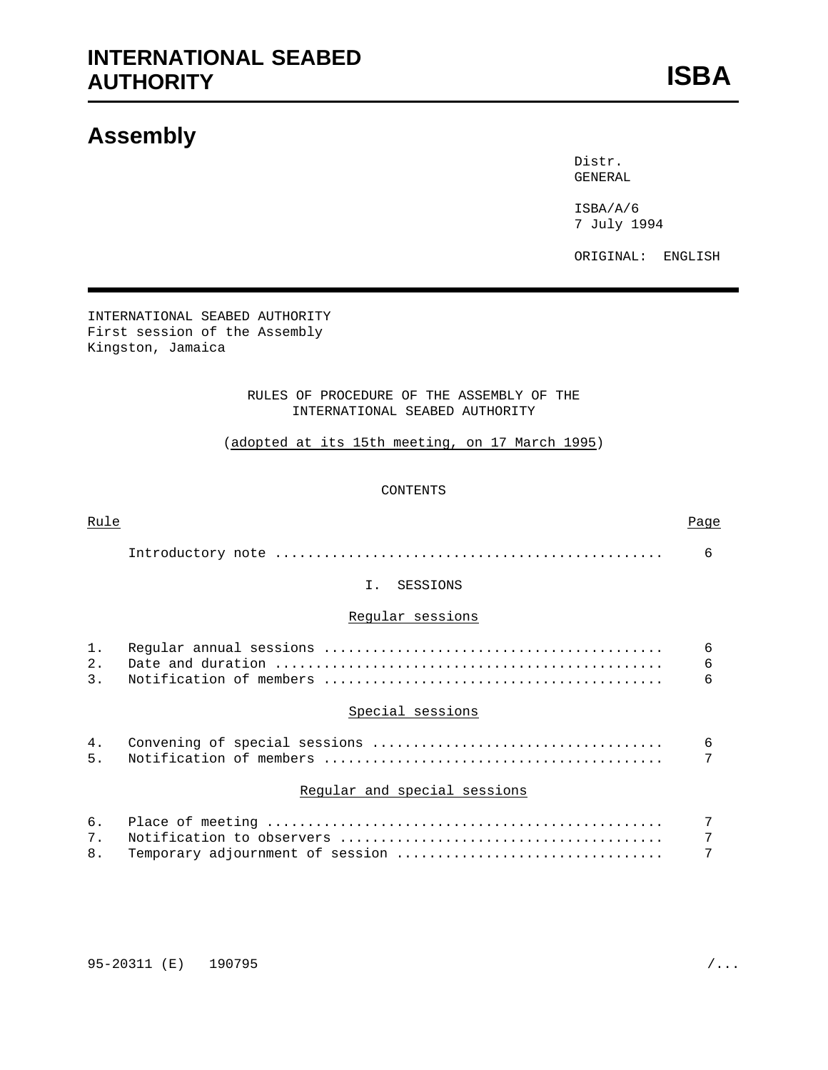# **Assembly**

Distr. GENERAL

ISBA/A/6 7 July 1994

ORIGINAL: ENGLISH

INTERNATIONAL SEABED AUTHORITY First session of the Assembly Kingston, Jamaica

> RULES OF PROCEDURE OF THE ASSEMBLY OF THE INTERNATIONAL SEABED AUTHORITY

(adopted at its 15th meeting, on 17 March 1995)

## CONTENTS

| Rule                         |                                  | Page                 |
|------------------------------|----------------------------------|----------------------|
|                              |                                  | 6                    |
|                              | T<br>SESSIONS                    |                      |
|                              | Regular sessions                 |                      |
| $1$ .<br>2.<br>$\mathcal{E}$ |                                  | 6<br>6<br>$\epsilon$ |
|                              | Special sessions                 |                      |
| 4.<br>5.                     |                                  | 6<br>7               |
|                              | Regular and special sessions     |                      |
| 6.<br>7.<br>8.               | Temporary adjournment of session | 7<br>7<br>7          |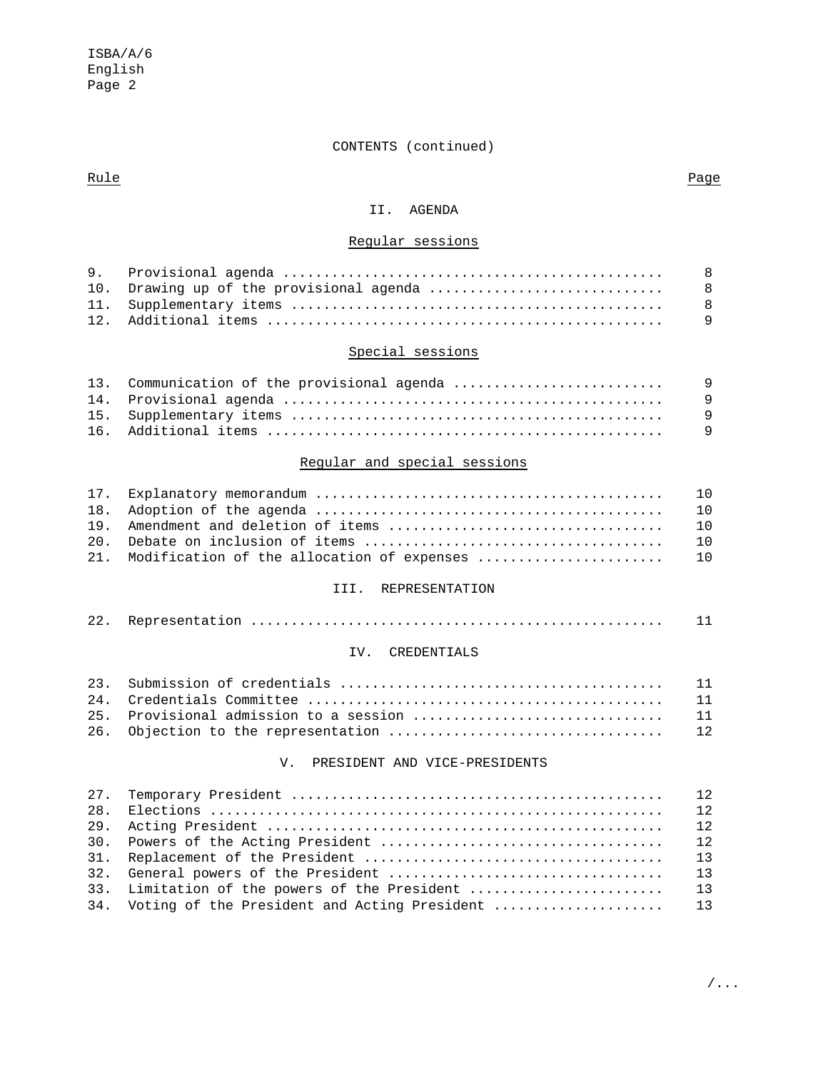## Rule Page is a state of the contract of the contract of the contract of the contract of the contract of the contract of the contract of the contract of the contract of the contract of the contract of the contract of the co

## II. AGENDA

## Regular sessions

## Special sessions

## Regular and special sessions

|  | 1 O |
|--|-----|
|  | 10  |
|  | 10  |
|  |     |

## III. REPRESENTATION

| 22 |  |  |  |
|----|--|--|--|
|----|--|--|--|

## IV. CREDENTIALS

|  | 11  |
|--|-----|
|  | -11 |
|  |     |
|  | 12  |

## V. PRESIDENT AND VICE-PRESIDENTS

|                                                      | 12  |
|------------------------------------------------------|-----|
|                                                      | 12. |
|                                                      | 12. |
|                                                      | 12  |
|                                                      | 13  |
|                                                      | 13  |
| 33. Limitation of the powers of the President        | 13  |
| 34. Voting of the President and Acting President  13 |     |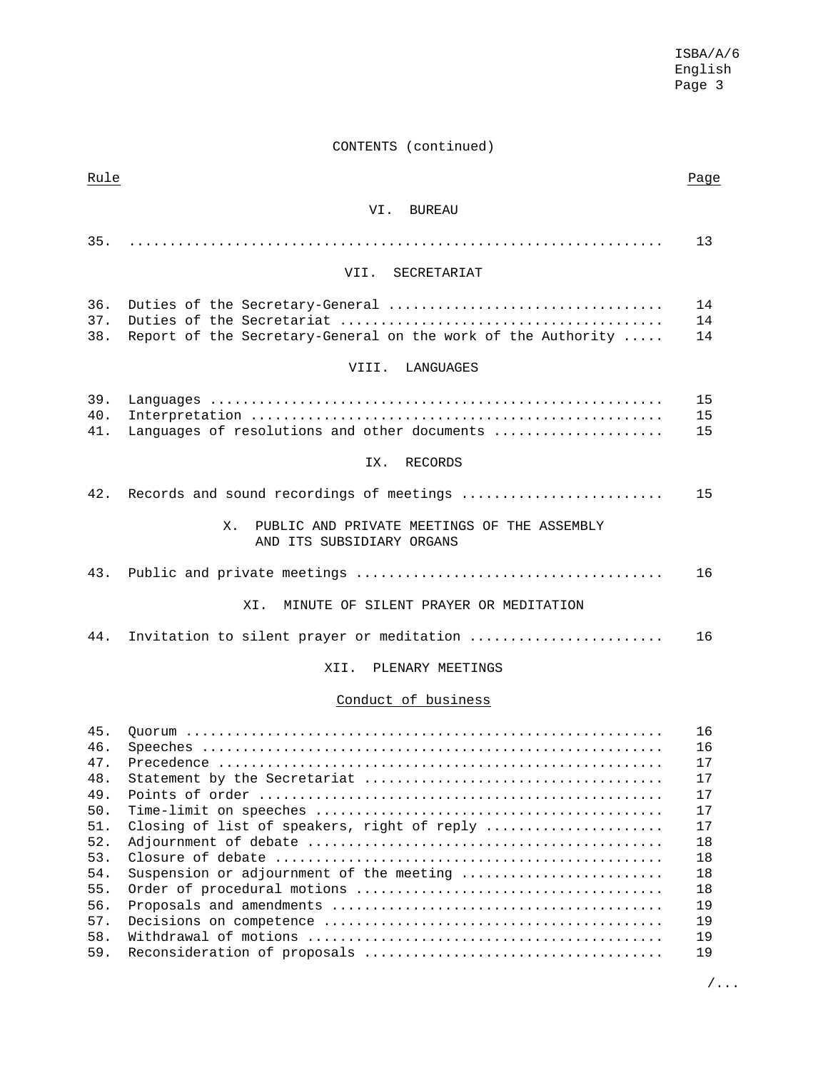| Rule                                                                                 |                                                                                         | Page                                                                 |
|--------------------------------------------------------------------------------------|-----------------------------------------------------------------------------------------|----------------------------------------------------------------------|
|                                                                                      | VI. BUREAU                                                                              |                                                                      |
| 35.                                                                                  |                                                                                         | 13                                                                   |
|                                                                                      | VII. SECRETARIAT                                                                        |                                                                      |
| 36.<br>37.<br>38.                                                                    | Report of the Secretary-General on the work of the Authority                            | 14<br>14<br>14                                                       |
|                                                                                      | LANGUAGES<br>VIII.                                                                      |                                                                      |
| 39.<br>40.<br>41.                                                                    | Languages of resolutions and other documents                                            | 15<br>15<br>15                                                       |
|                                                                                      | IX.<br><b>RECORDS</b>                                                                   |                                                                      |
| 42.                                                                                  | Records and sound recordings of meetings                                                | 15                                                                   |
|                                                                                      | PUBLIC AND PRIVATE MEETINGS OF THE ASSEMBLY<br>Х.<br>AND ITS SUBSIDIARY ORGANS          |                                                                      |
| 43.                                                                                  |                                                                                         | 16                                                                   |
|                                                                                      | MINUTE OF SILENT PRAYER OR MEDITATION<br>XI.                                            |                                                                      |
| 44.                                                                                  | Invitation to silent prayer or meditation                                               | 16                                                                   |
|                                                                                      | PLENARY MEETINGS<br>XII.                                                                |                                                                      |
|                                                                                      | Conduct of business                                                                     |                                                                      |
| 45.<br>46.<br>47.<br>$48.$<br>49.<br>$50.$<br>51.<br>52.<br>53.<br>54.<br>55.<br>56. | Closing of list of speakers, right of reply<br>Suspension or adjournment of the meeting | 16<br>16<br>17<br>17<br>17<br>17<br>17<br>18<br>18<br>18<br>18<br>19 |
| 57.<br>58.                                                                           |                                                                                         | 19<br>19                                                             |

59. Reconsideration of proposals ..................................... 19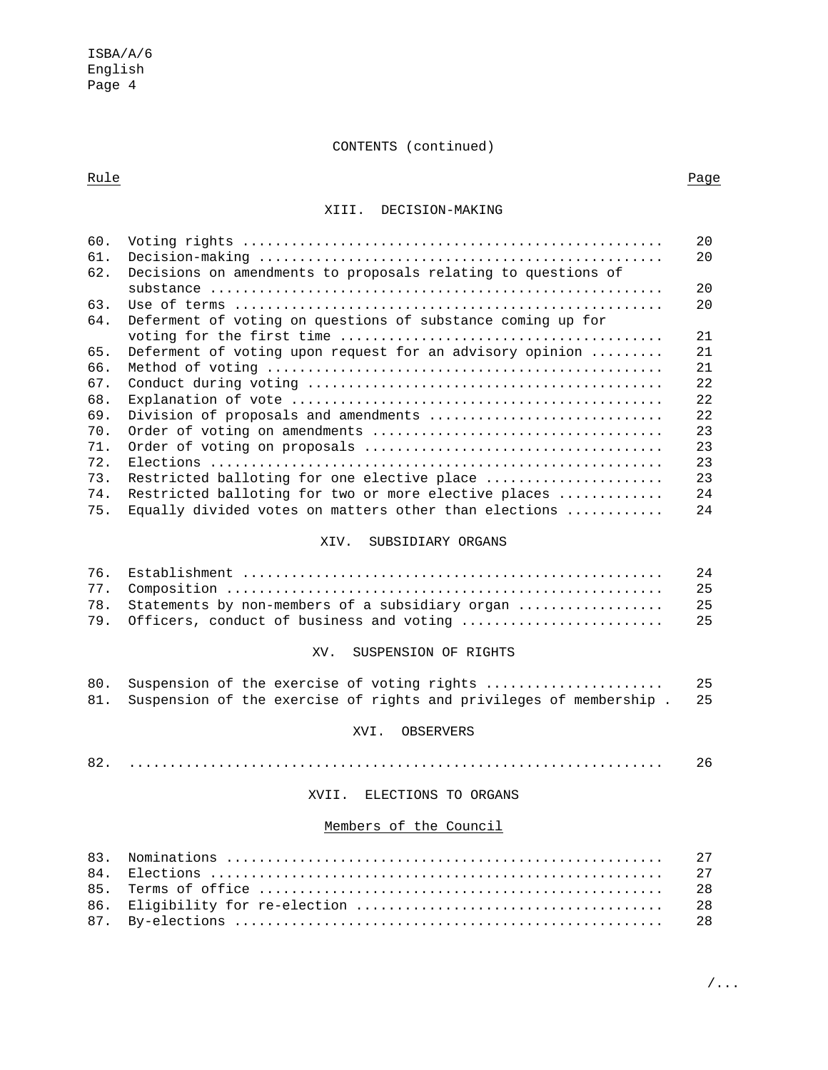#### Rule Page is a state of the contract of the contract of the contract of the contract of the contract of the contract of the contract of the contract of the contract of the contract of the contract of the contract of the co

## XIII. DECISION-MAKING

| 60.<br>61.<br>62. | Decisions on amendments to proposals relating to questions of              | 20<br>20 |
|-------------------|----------------------------------------------------------------------------|----------|
|                   |                                                                            | 20       |
| 63.               |                                                                            | 20       |
| 64.               | Deferment of voting on questions of substance coming up for                |          |
|                   |                                                                            | 21       |
| 65.               | Deferment of voting upon request for an advisory opinion $\dots\dots\dots$ | 21       |
| 66.               |                                                                            | 21       |
| 67.               |                                                                            | 22       |
| 68.               |                                                                            | 22       |
| 69.               | Division of proposals and amendments                                       | 22       |
| 70.               |                                                                            | 23       |
| 71.               |                                                                            | 23       |
| 72.               |                                                                            | 23       |
| 73.               | Restricted balloting for one elective place                                | 23       |
| 74.               | Restricted balloting for two or more elective places                       | 24       |
| 75.               | Equally divided votes on matters other than elections                      | 24       |

## XIV. SUBSIDIARY ORGANS

|                                                     | 24 |
|-----------------------------------------------------|----|
|                                                     | 25 |
| 78. Statements by non-members of a subsidiary organ | 25 |
| 79. Officers, conduct of business and voting  25    |    |

## XV. SUSPENSION OF RIGHTS

|  |  |  | 80. Suspension of the exercise of voting rights                        | -25  |
|--|--|--|------------------------------------------------------------------------|------|
|  |  |  | 81. Suspension of the exercise of rights and privileges of membership. | - 25 |

#### XVI. OBSERVERS

82. .................................................................. 26

## XVII. ELECTIONS TO ORGANS

## Members of the Council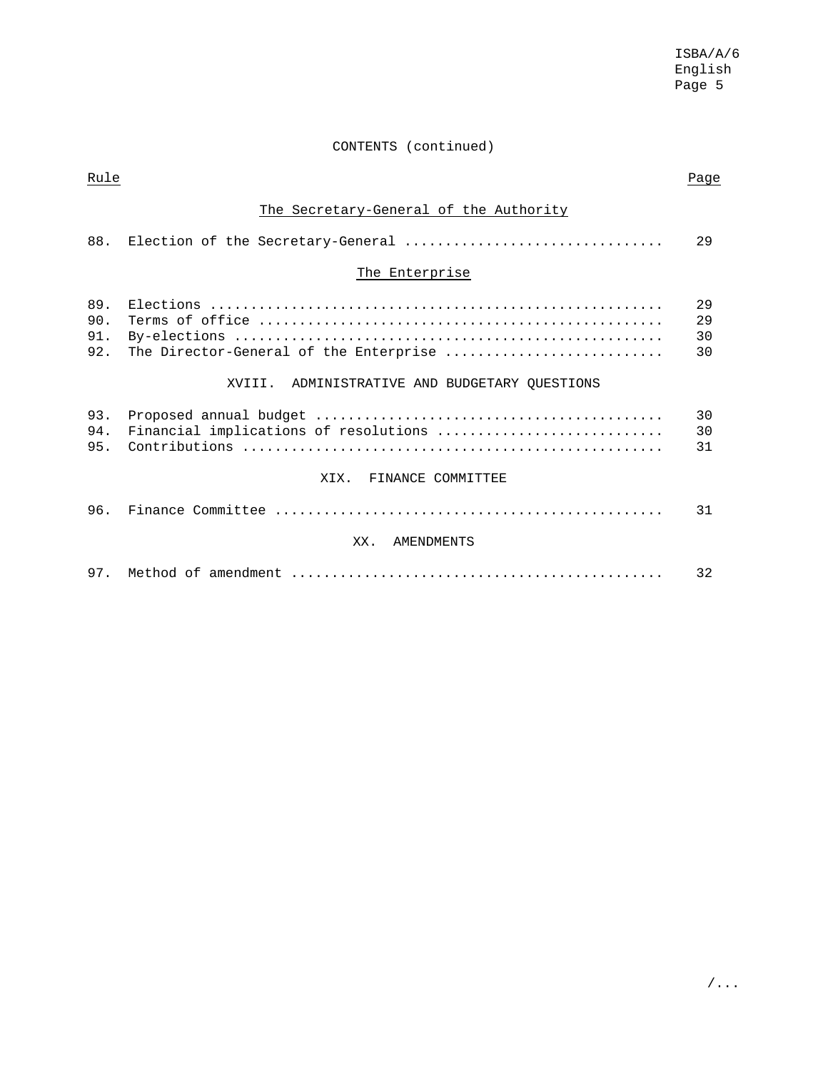| Rule                      |                                               | Page                 |
|---------------------------|-----------------------------------------------|----------------------|
|                           | The Secretary-General of the Authority        |                      |
|                           |                                               | 29                   |
| The Enterprise            |                                               |                      |
| 89.<br>90.                | 92. The Director-General of the Enterprise    | 29<br>29<br>30<br>30 |
|                           | XVIII. ADMINISTRATIVE AND BUDGETARY OUESTIONS |                      |
| 93.<br>94.                | Financial implications of resolutions         | 30<br>30<br>31       |
| XTX.<br>FINANCE COMMITTEE |                                               |                      |
|                           |                                               | 31                   |
| XX.<br>AMENDMENTS         |                                               |                      |
|                           |                                               | 32                   |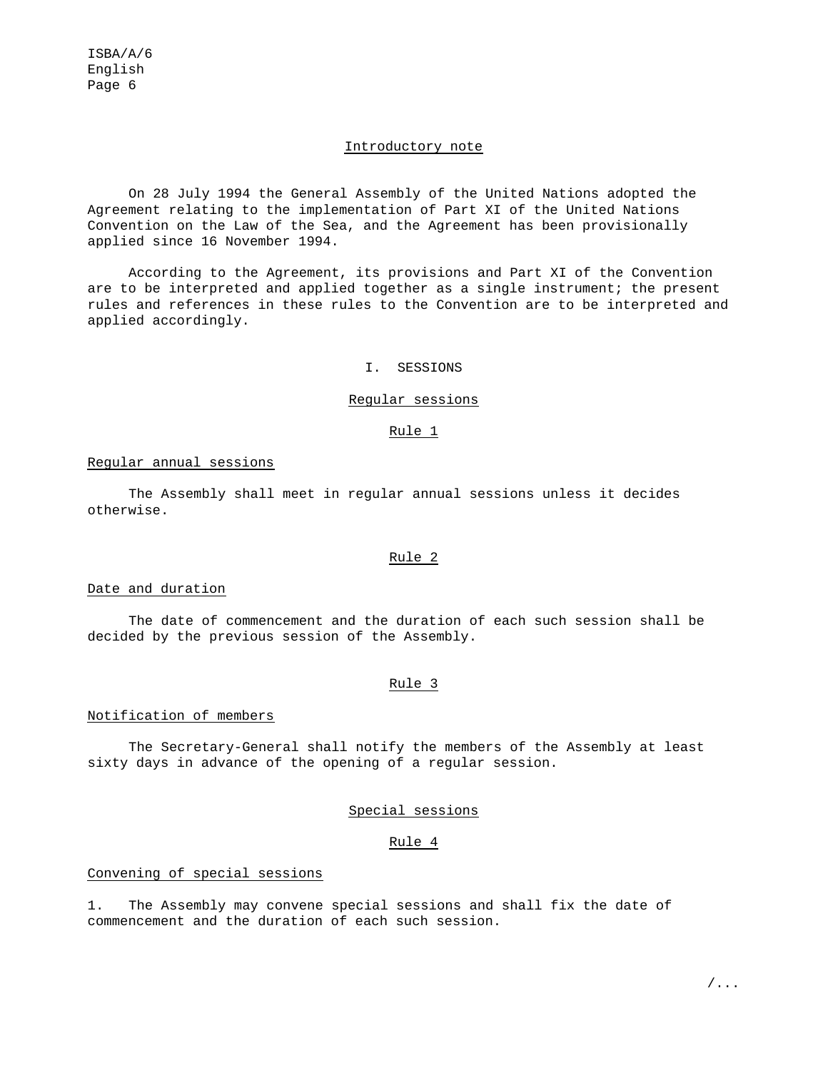#### Introductory note

On 28 July 1994 the General Assembly of the United Nations adopted the Agreement relating to the implementation of Part XI of the United Nations Convention on the Law of the Sea, and the Agreement has been provisionally applied since 16 November 1994.

According to the Agreement, its provisions and Part XI of the Convention are to be interpreted and applied together as a single instrument; the present rules and references in these rules to the Convention are to be interpreted and applied accordingly.

#### I. SESSIONS

## Regular sessions

## Rule 1

## Regular annual sessions

The Assembly shall meet in regular annual sessions unless it decides otherwise.

## Rule 2

#### Date and duration

The date of commencement and the duration of each such session shall be decided by the previous session of the Assembly.

#### Rule 3

#### Notification of members

The Secretary-General shall notify the members of the Assembly at least sixty days in advance of the opening of a regular session.

#### Special sessions

## Rule 4

#### Convening of special sessions

1. The Assembly may convene special sessions and shall fix the date of commencement and the duration of each such session.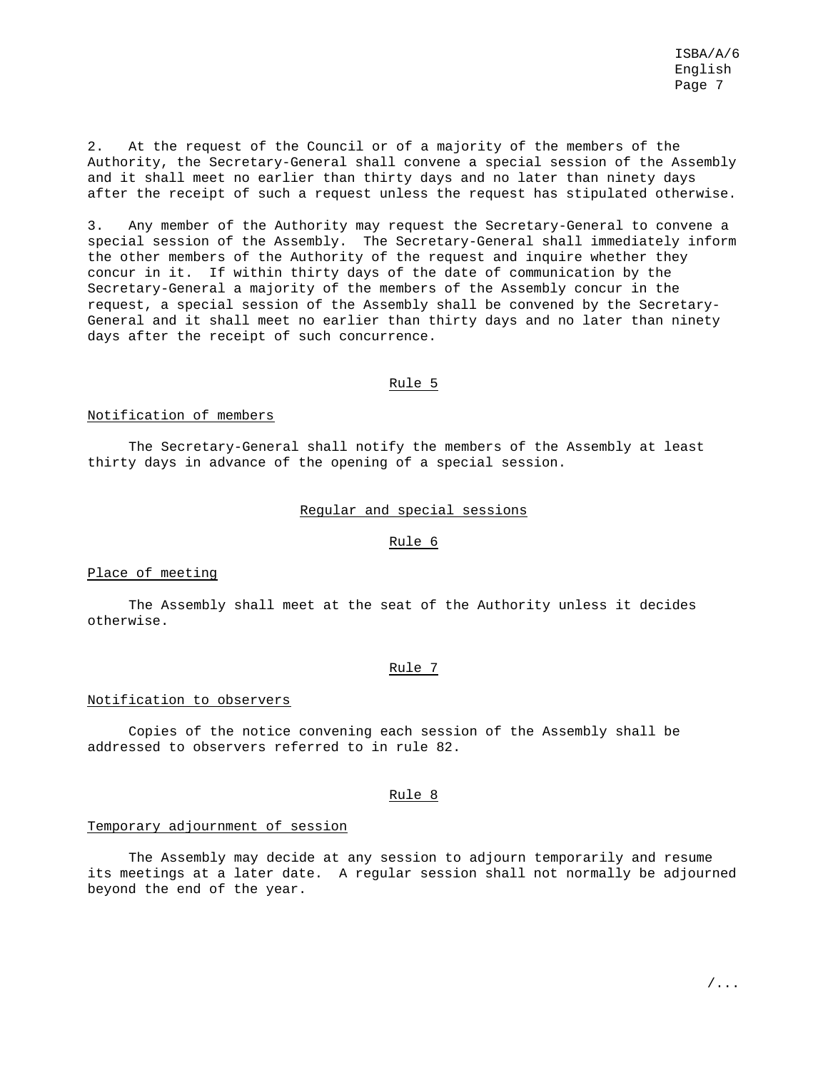2. At the request of the Council or of a majority of the members of the Authority, the Secretary-General shall convene a special session of the Assembly and it shall meet no earlier than thirty days and no later than ninety days after the receipt of such a request unless the request has stipulated otherwise.

3. Any member of the Authority may request the Secretary-General to convene a special session of the Assembly. The Secretary-General shall immediately inform the other members of the Authority of the request and inquire whether they concur in it. If within thirty days of the date of communication by the Secretary-General a majority of the members of the Assembly concur in the request, a special session of the Assembly shall be convened by the Secretary-General and it shall meet no earlier than thirty days and no later than ninety days after the receipt of such concurrence.

#### Rule 5

#### Notification of members

The Secretary-General shall notify the members of the Assembly at least thirty days in advance of the opening of a special session.

## Regular and special sessions

#### Rule 6

#### Place of meeting

The Assembly shall meet at the seat of the Authority unless it decides otherwise.

#### Rule 7

#### Notification to observers

Copies of the notice convening each session of the Assembly shall be addressed to observers referred to in rule 82.

#### Rule 8

#### Temporary adjournment of session

The Assembly may decide at any session to adjourn temporarily and resume its meetings at a later date. A regular session shall not normally be adjourned beyond the end of the year.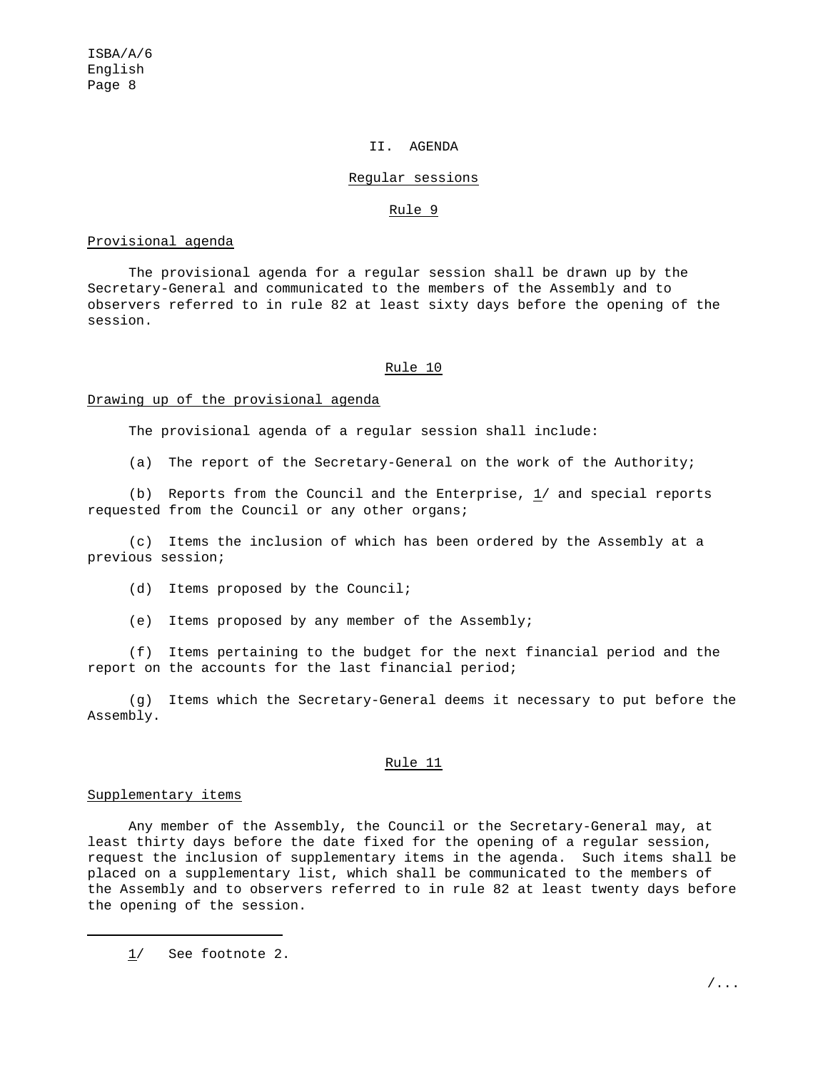#### II. AGENDA

## Regular sessions

#### Rule 9

#### Provisional agenda

The provisional agenda for a regular session shall be drawn up by the Secretary-General and communicated to the members of the Assembly and to observers referred to in rule 82 at least sixty days before the opening of the session.

#### Rule 10

#### Drawing up of the provisional agenda

The provisional agenda of a regular session shall include:

(a) The report of the Secretary-General on the work of the Authority;

(b) Reports from the Council and the Enterprise, 1/ and special reports requested from the Council or any other organs;

(c) Items the inclusion of which has been ordered by the Assembly at a previous session;

- (d) Items proposed by the Council;
- (e) Items proposed by any member of the Assembly;

(f) Items pertaining to the budget for the next financial period and the report on the accounts for the last financial period;

(g) Items which the Secretary-General deems it necessary to put before the Assembly.

#### Rule 11

#### Supplementary items

Any member of the Assembly, the Council or the Secretary-General may, at least thirty days before the date fixed for the opening of a regular session, request the inclusion of supplementary items in the agenda. Such items shall be placed on a supplementary list, which shall be communicated to the members of the Assembly and to observers referred to in rule 82 at least twenty days before the opening of the session.

1/ See footnote 2.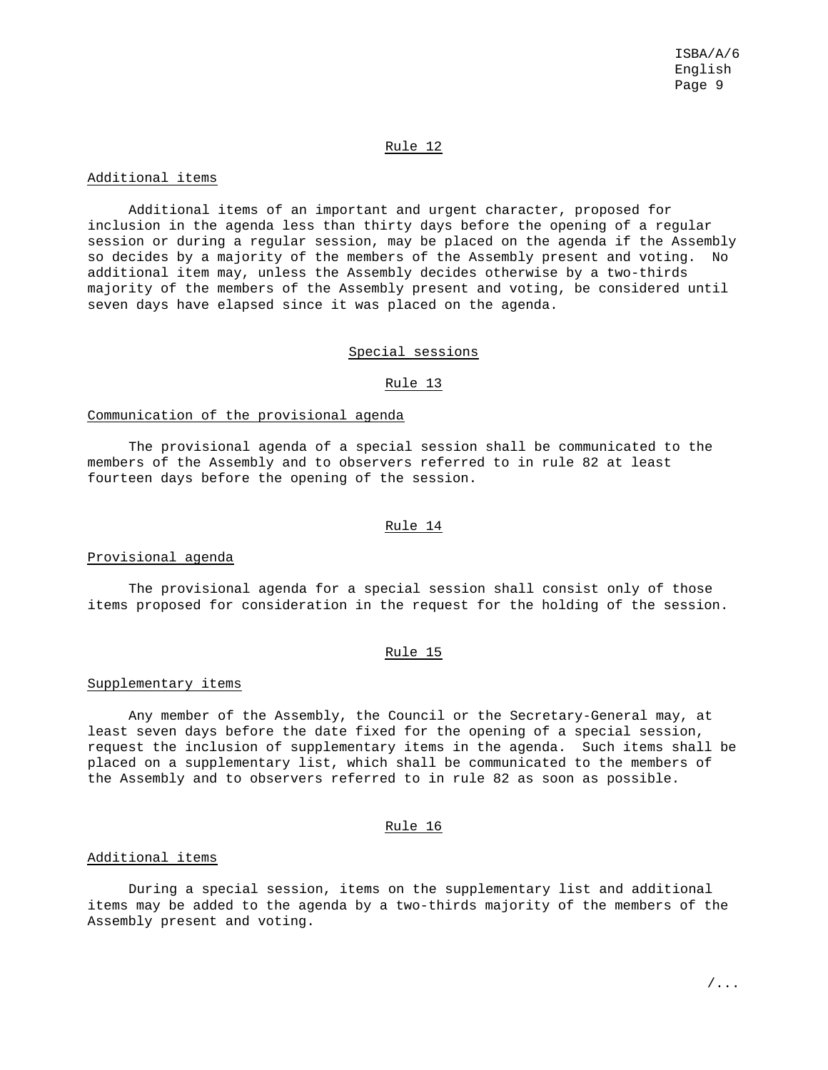## Rule 12

#### Additional items

Additional items of an important and urgent character, proposed for inclusion in the agenda less than thirty days before the opening of a regular session or during a regular session, may be placed on the agenda if the Assembly so decides by a majority of the members of the Assembly present and voting. No additional item may, unless the Assembly decides otherwise by a two-thirds majority of the members of the Assembly present and voting, be considered until seven days have elapsed since it was placed on the agenda.

#### Special sessions

#### Rule 13

#### Communication of the provisional agenda

The provisional agenda of a special session shall be communicated to the members of the Assembly and to observers referred to in rule 82 at least fourteen days before the opening of the session.

## Rule 14

#### Provisional agenda

The provisional agenda for a special session shall consist only of those items proposed for consideration in the request for the holding of the session.

#### Rule 15

#### Supplementary items

Any member of the Assembly, the Council or the Secretary-General may, at least seven days before the date fixed for the opening of a special session, request the inclusion of supplementary items in the agenda. Such items shall be placed on a supplementary list, which shall be communicated to the members of the Assembly and to observers referred to in rule 82 as soon as possible.

#### Rule 16

#### Additional items

During a special session, items on the supplementary list and additional items may be added to the agenda by a two-thirds majority of the members of the Assembly present and voting.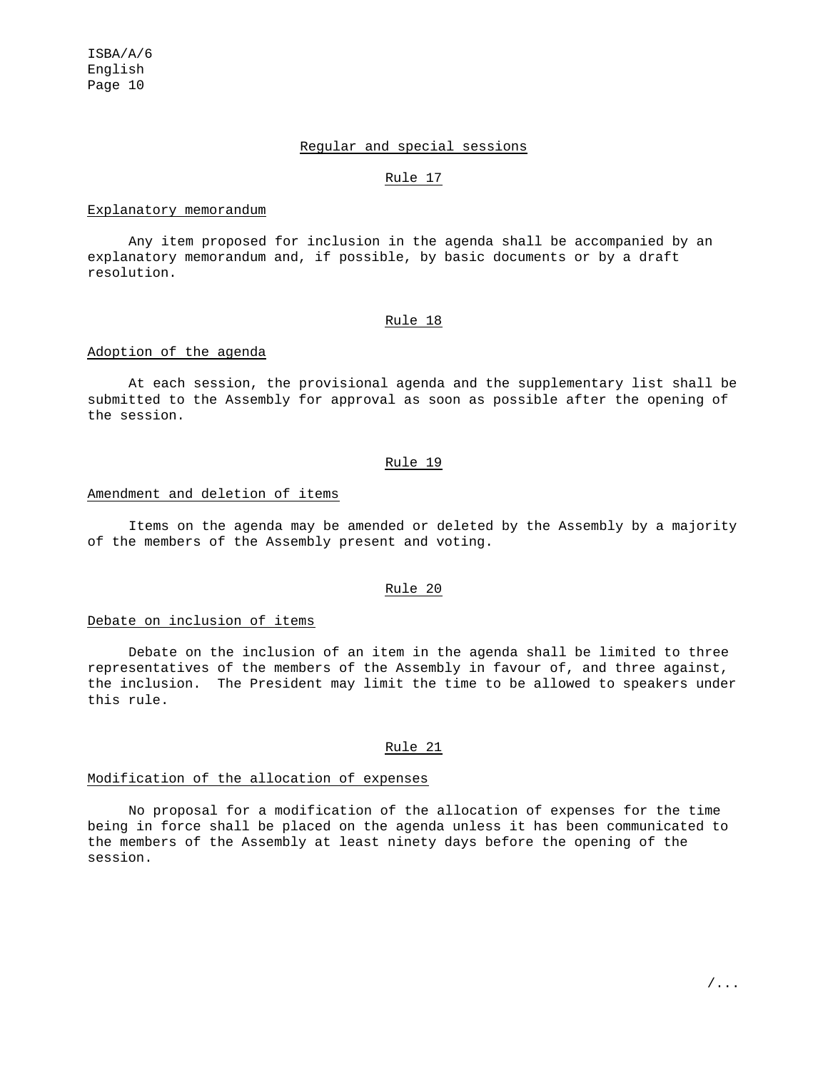## Regular and special sessions

## Rule 17

#### Explanatory memorandum

Any item proposed for inclusion in the agenda shall be accompanied by an explanatory memorandum and, if possible, by basic documents or by a draft resolution.

#### Rule 18

#### Adoption of the agenda

At each session, the provisional agenda and the supplementary list shall be submitted to the Assembly for approval as soon as possible after the opening of the session.

#### Rule 19

#### Amendment and deletion of items

Items on the agenda may be amended or deleted by the Assembly by a majority of the members of the Assembly present and voting.

#### Rule 20

#### Debate on inclusion of items

Debate on the inclusion of an item in the agenda shall be limited to three representatives of the members of the Assembly in favour of, and three against, the inclusion. The President may limit the time to be allowed to speakers under this rule.

#### Rule 21

## Modification of the allocation of expenses

No proposal for a modification of the allocation of expenses for the time being in force shall be placed on the agenda unless it has been communicated to the members of the Assembly at least ninety days before the opening of the session.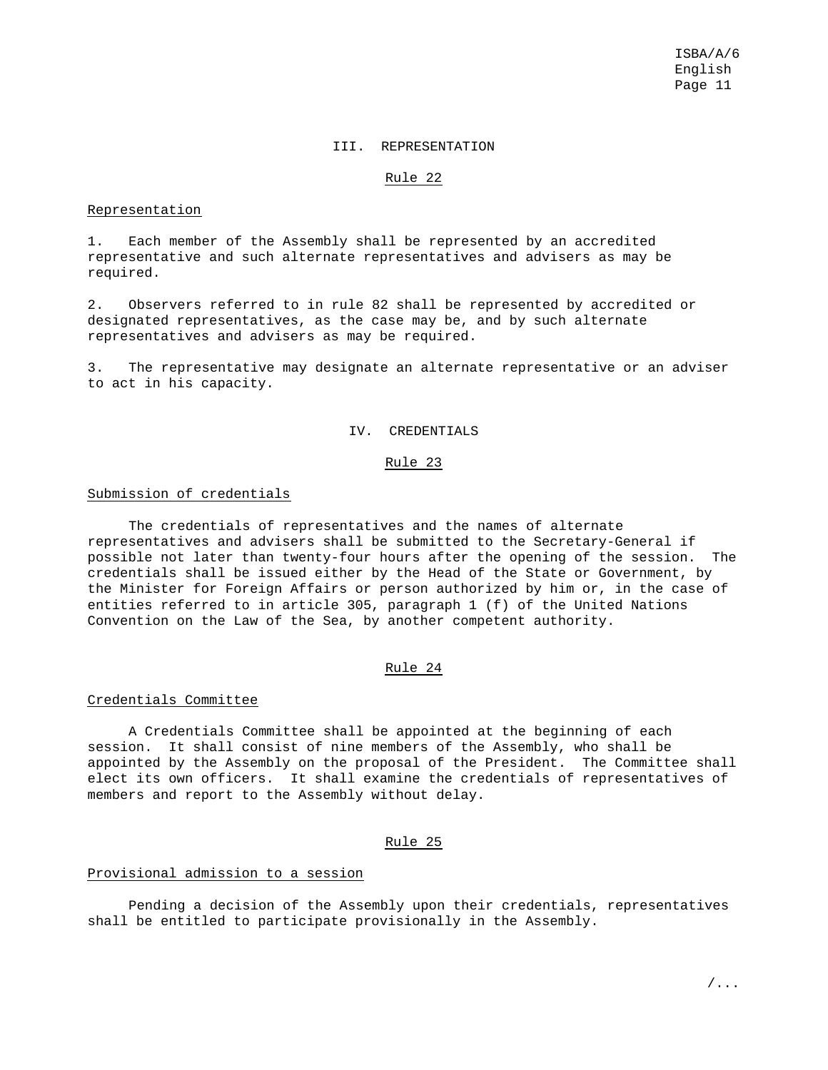#### III. REPRESENTATION

## Rule 22

#### Representation

1. Each member of the Assembly shall be represented by an accredited representative and such alternate representatives and advisers as may be required.

2. Observers referred to in rule 82 shall be represented by accredited or designated representatives, as the case may be, and by such alternate representatives and advisers as may be required.

3. The representative may designate an alternate representative or an adviser to act in his capacity.

#### IV. CREDENTIALS

## Rule 23

#### Submission of credentials

The credentials of representatives and the names of alternate representatives and advisers shall be submitted to the Secretary-General if possible not later than twenty-four hours after the opening of the session. The credentials shall be issued either by the Head of the State or Government, by the Minister for Foreign Affairs or person authorized by him or, in the case of entities referred to in article 305, paragraph 1 (f) of the United Nations Convention on the Law of the Sea, by another competent authority.

## Rule 24

#### Credentials Committee

A Credentials Committee shall be appointed at the beginning of each session. It shall consist of nine members of the Assembly, who shall be appointed by the Assembly on the proposal of the President. The Committee shall elect its own officers. It shall examine the credentials of representatives of members and report to the Assembly without delay.

## Rule 25

#### Provisional admission to a session

Pending a decision of the Assembly upon their credentials, representatives shall be entitled to participate provisionally in the Assembly.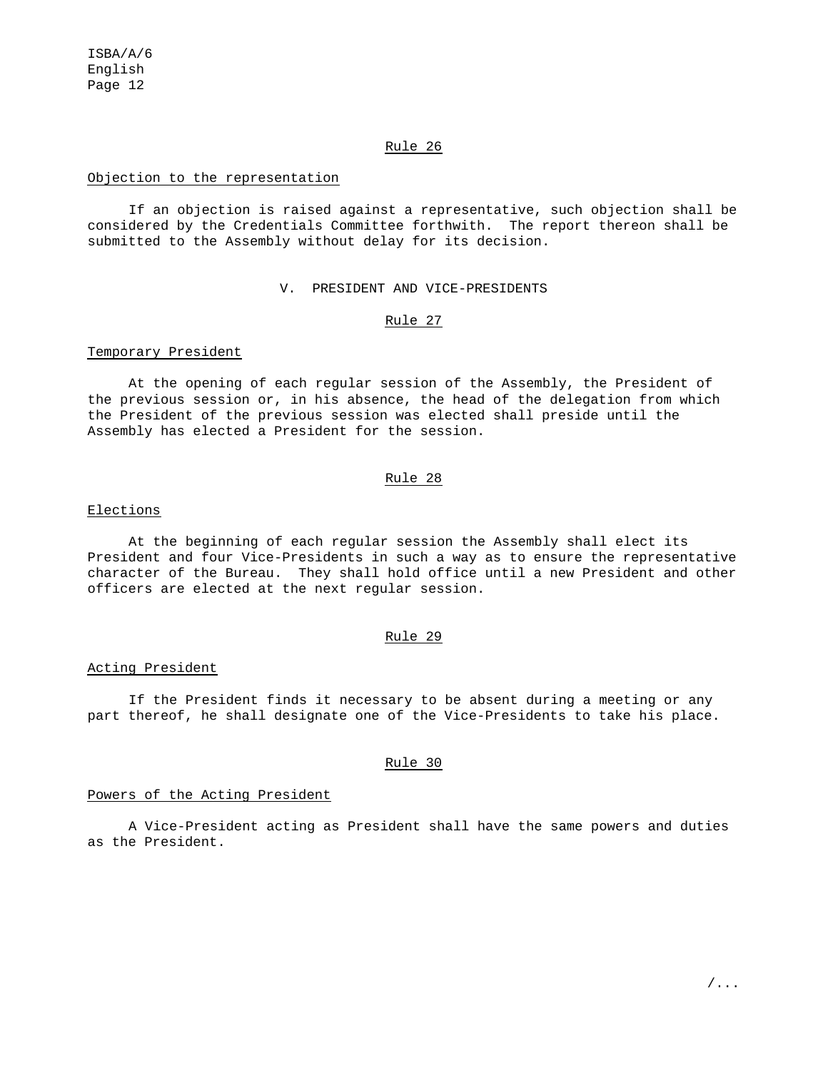## Rule 26

## Objection to the representation

If an objection is raised against a representative, such objection shall be considered by the Credentials Committee forthwith. The report thereon shall be submitted to the Assembly without delay for its decision.

#### V. PRESIDENT AND VICE-PRESIDENTS

#### Rule 27

#### Temporary President

At the opening of each regular session of the Assembly, the President of the previous session or, in his absence, the head of the delegation from which the President of the previous session was elected shall preside until the Assembly has elected a President for the session.

#### Rule 28

## Elections

At the beginning of each regular session the Assembly shall elect its President and four Vice-Presidents in such a way as to ensure the representative character of the Bureau. They shall hold office until a new President and other officers are elected at the next regular session.

## Rule 29

## Acting President

If the President finds it necessary to be absent during a meeting or any part thereof, he shall designate one of the Vice-Presidents to take his place.

#### Rule 30

#### Powers of the Acting President

A Vice-President acting as President shall have the same powers and duties as the President.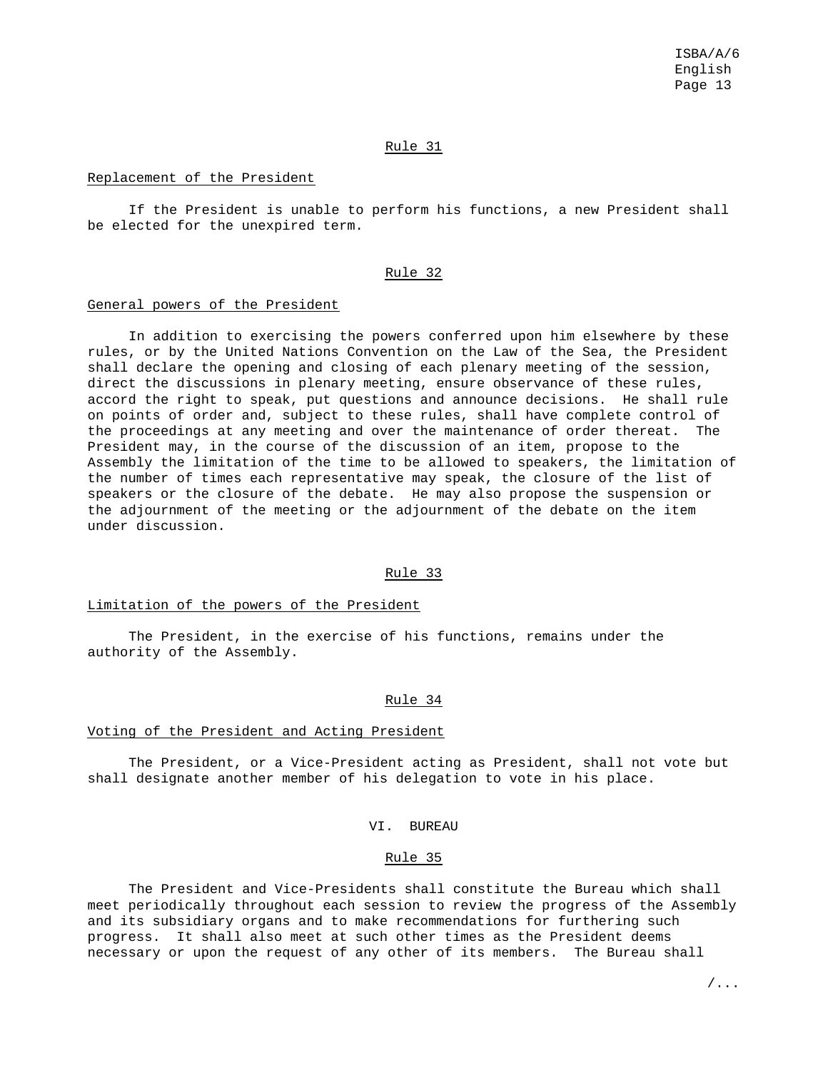#### Rule 31

#### Replacement of the President

If the President is unable to perform his functions, a new President shall be elected for the unexpired term.

#### Rule 32

#### General powers of the President

In addition to exercising the powers conferred upon him elsewhere by these rules, or by the United Nations Convention on the Law of the Sea, the President shall declare the opening and closing of each plenary meeting of the session, direct the discussions in plenary meeting, ensure observance of these rules, accord the right to speak, put questions and announce decisions. He shall rule on points of order and, subject to these rules, shall have complete control of the proceedings at any meeting and over the maintenance of order thereat. The President may, in the course of the discussion of an item, propose to the Assembly the limitation of the time to be allowed to speakers, the limitation of the number of times each representative may speak, the closure of the list of speakers or the closure of the debate. He may also propose the suspension or the adjournment of the meeting or the adjournment of the debate on the item under discussion.

#### Rule 33

#### Limitation of the powers of the President

The President, in the exercise of his functions, remains under the authority of the Assembly.

#### Rule 34

#### Voting of the President and Acting President

The President, or a Vice-President acting as President, shall not vote but shall designate another member of his delegation to vote in his place.

#### VI. BUREAU

#### Rule 35

The President and Vice-Presidents shall constitute the Bureau which shall meet periodically throughout each session to review the progress of the Assembly and its subsidiary organs and to make recommendations for furthering such progress. It shall also meet at such other times as the President deems necessary or upon the request of any other of its members. The Bureau shall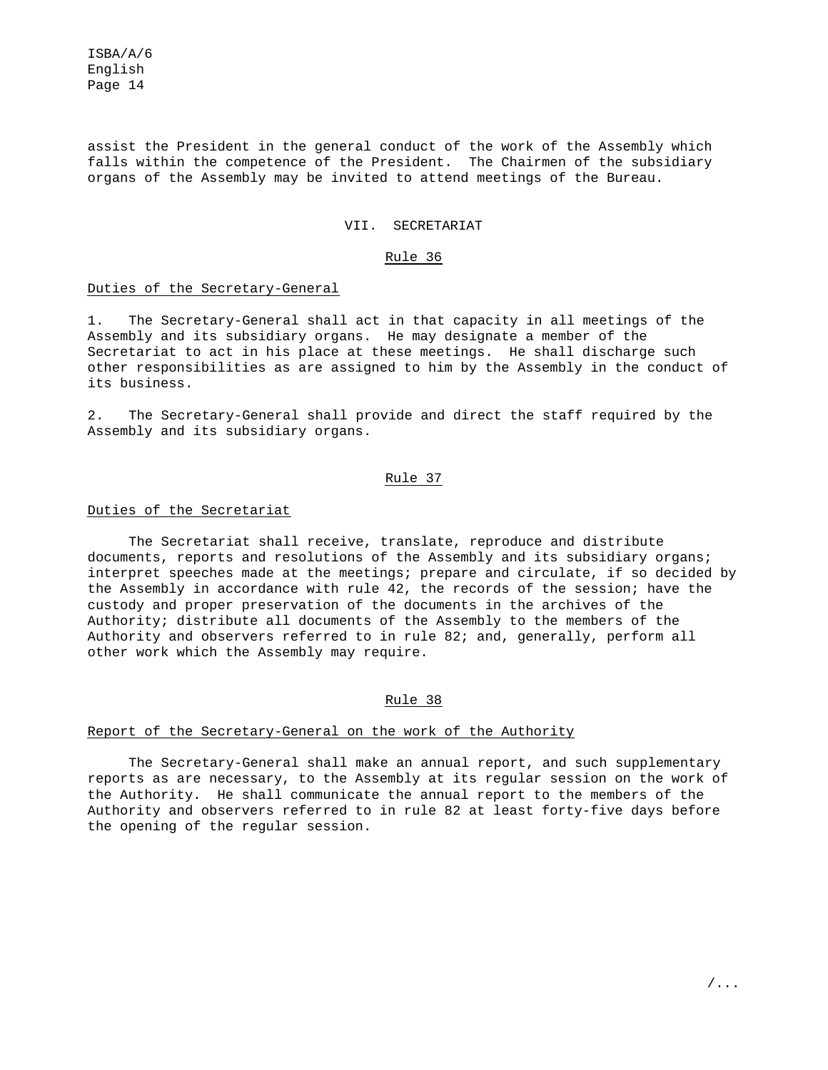assist the President in the general conduct of the work of the Assembly which falls within the competence of the President. The Chairmen of the subsidiary organs of the Assembly may be invited to attend meetings of the Bureau.

## VII. SECRETARIAT

#### Rule 36

## Duties of the Secretary-General

1. The Secretary-General shall act in that capacity in all meetings of the Assembly and its subsidiary organs. He may designate a member of the Secretariat to act in his place at these meetings. He shall discharge such other responsibilities as are assigned to him by the Assembly in the conduct of its business.

2. The Secretary-General shall provide and direct the staff required by the Assembly and its subsidiary organs.

#### Rule 37

## Duties of the Secretariat

The Secretariat shall receive, translate, reproduce and distribute documents, reports and resolutions of the Assembly and its subsidiary organs; interpret speeches made at the meetings; prepare and circulate, if so decided by the Assembly in accordance with rule 42, the records of the session; have the custody and proper preservation of the documents in the archives of the Authority; distribute all documents of the Assembly to the members of the Authority and observers referred to in rule 82; and, generally, perform all other work which the Assembly may require.

## Rule 38

#### Report of the Secretary-General on the work of the Authority

The Secretary-General shall make an annual report, and such supplementary reports as are necessary, to the Assembly at its regular session on the work of the Authority. He shall communicate the annual report to the members of the Authority and observers referred to in rule 82 at least forty-five days before the opening of the regular session.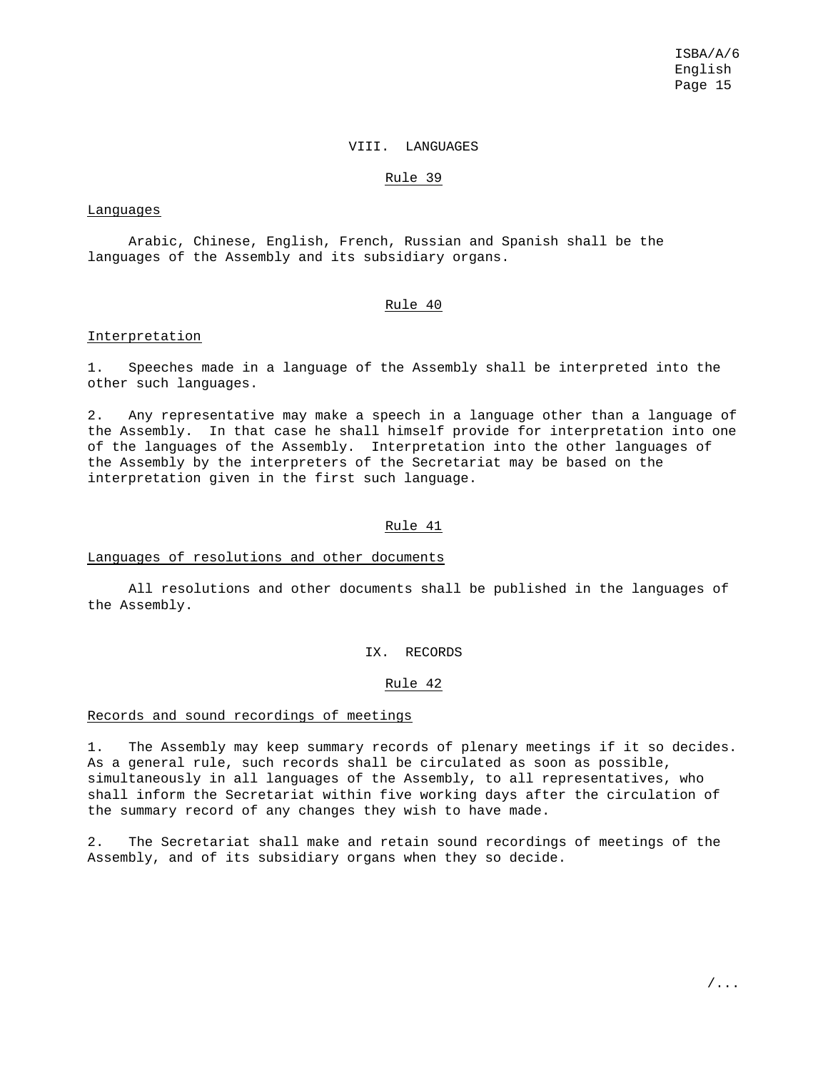#### VIII. LANGUAGES

## Rule 39

#### Languages

Arabic, Chinese, English, French, Russian and Spanish shall be the languages of the Assembly and its subsidiary organs.

## Rule 40

## Interpretation

1. Speeches made in a language of the Assembly shall be interpreted into the other such languages.

2. Any representative may make a speech in a language other than a language of the Assembly. In that case he shall himself provide for interpretation into one of the languages of the Assembly. Interpretation into the other languages of the Assembly by the interpreters of the Secretariat may be based on the interpretation given in the first such language.

#### Rule 41

#### Languages of resolutions and other documents

All resolutions and other documents shall be published in the languages of the Assembly.

#### IX. RECORDS

## Rule 42

#### Records and sound recordings of meetings

1. The Assembly may keep summary records of plenary meetings if it so decides. As a general rule, such records shall be circulated as soon as possible, simultaneously in all languages of the Assembly, to all representatives, who shall inform the Secretariat within five working days after the circulation of the summary record of any changes they wish to have made.

2. The Secretariat shall make and retain sound recordings of meetings of the Assembly, and of its subsidiary organs when they so decide.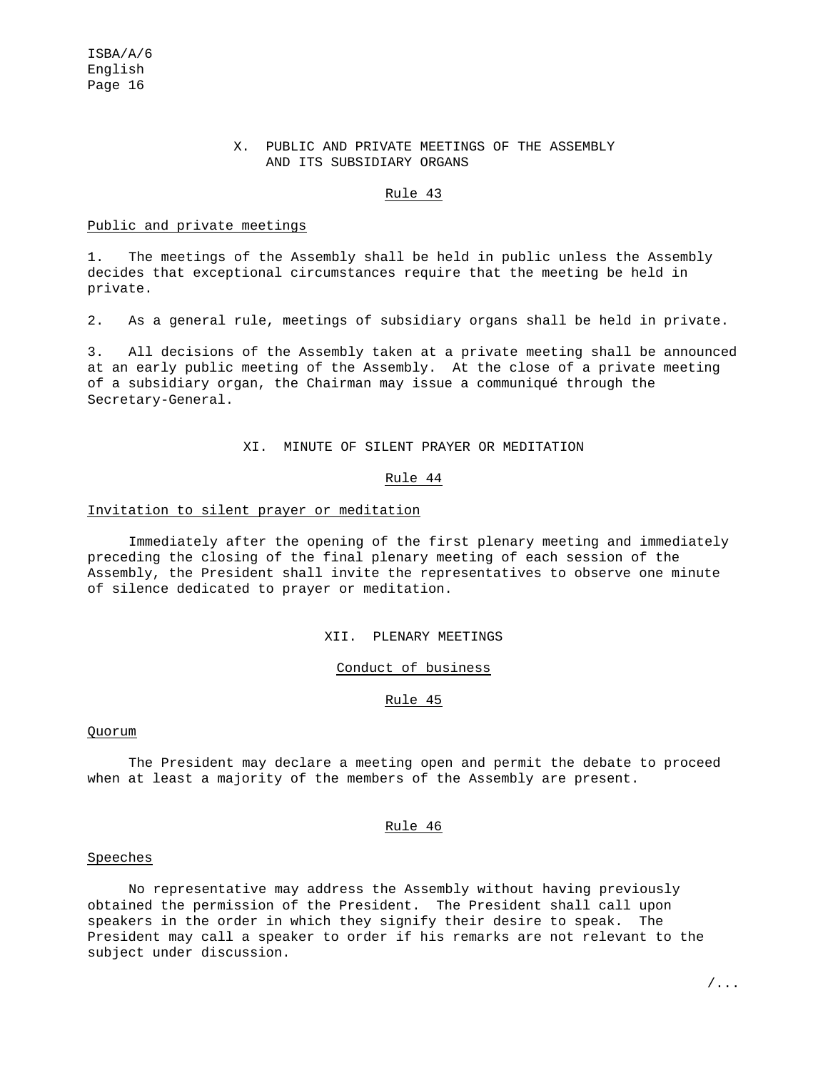## X. PUBLIC AND PRIVATE MEETINGS OF THE ASSEMBLY AND ITS SUBSIDIARY ORGANS

#### Rule 43

#### Public and private meetings

1. The meetings of the Assembly shall be held in public unless the Assembly decides that exceptional circumstances require that the meeting be held in private.

2. As a general rule, meetings of subsidiary organs shall be held in private.

3. All decisions of the Assembly taken at a private meeting shall be announced at an early public meeting of the Assembly. At the close of a private meeting of a subsidiary organ, the Chairman may issue a communiqué through the Secretary-General.

#### XI. MINUTE OF SILENT PRAYER OR MEDITATION

## Rule 44

#### Invitation to silent prayer or meditation

Immediately after the opening of the first plenary meeting and immediately preceding the closing of the final plenary meeting of each session of the Assembly, the President shall invite the representatives to observe one minute of silence dedicated to prayer or meditation.

#### XII. PLENARY MEETINGS

#### Conduct of business

## Rule 45

#### Quorum

The President may declare a meeting open and permit the debate to proceed when at least a majority of the members of the Assembly are present.

#### Rule 46

#### Speeches

No representative may address the Assembly without having previously obtained the permission of the President. The President shall call upon speakers in the order in which they signify their desire to speak. The President may call a speaker to order if his remarks are not relevant to the subject under discussion.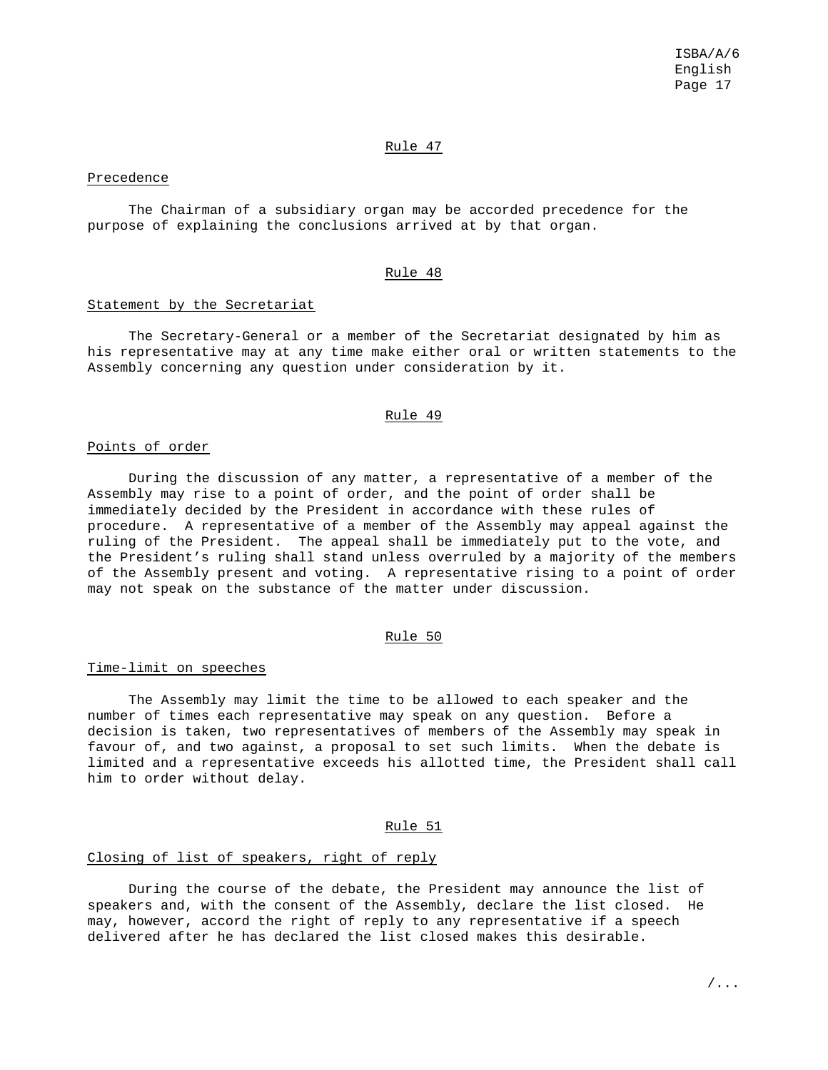#### Rule 47

#### Precedence

The Chairman of a subsidiary organ may be accorded precedence for the purpose of explaining the conclusions arrived at by that organ.

#### Rule 48

#### Statement by the Secretariat

The Secretary-General or a member of the Secretariat designated by him as his representative may at any time make either oral or written statements to the Assembly concerning any question under consideration by it.

## Rule 49

#### Points of order

During the discussion of any matter, a representative of a member of the Assembly may rise to a point of order, and the point of order shall be immediately decided by the President in accordance with these rules of procedure. A representative of a member of the Assembly may appeal against the ruling of the President. The appeal shall be immediately put to the vote, and the President's ruling shall stand unless overruled by a majority of the members of the Assembly present and voting. A representative rising to a point of order may not speak on the substance of the matter under discussion.

#### Rule 50

## Time-limit on speeches

The Assembly may limit the time to be allowed to each speaker and the number of times each representative may speak on any question. Before a decision is taken, two representatives of members of the Assembly may speak in favour of, and two against, a proposal to set such limits. When the debate is limited and a representative exceeds his allotted time, the President shall call him to order without delay.

#### Rule 51

#### Closing of list of speakers, right of reply

During the course of the debate, the President may announce the list of speakers and, with the consent of the Assembly, declare the list closed. He may, however, accord the right of reply to any representative if a speech delivered after he has declared the list closed makes this desirable.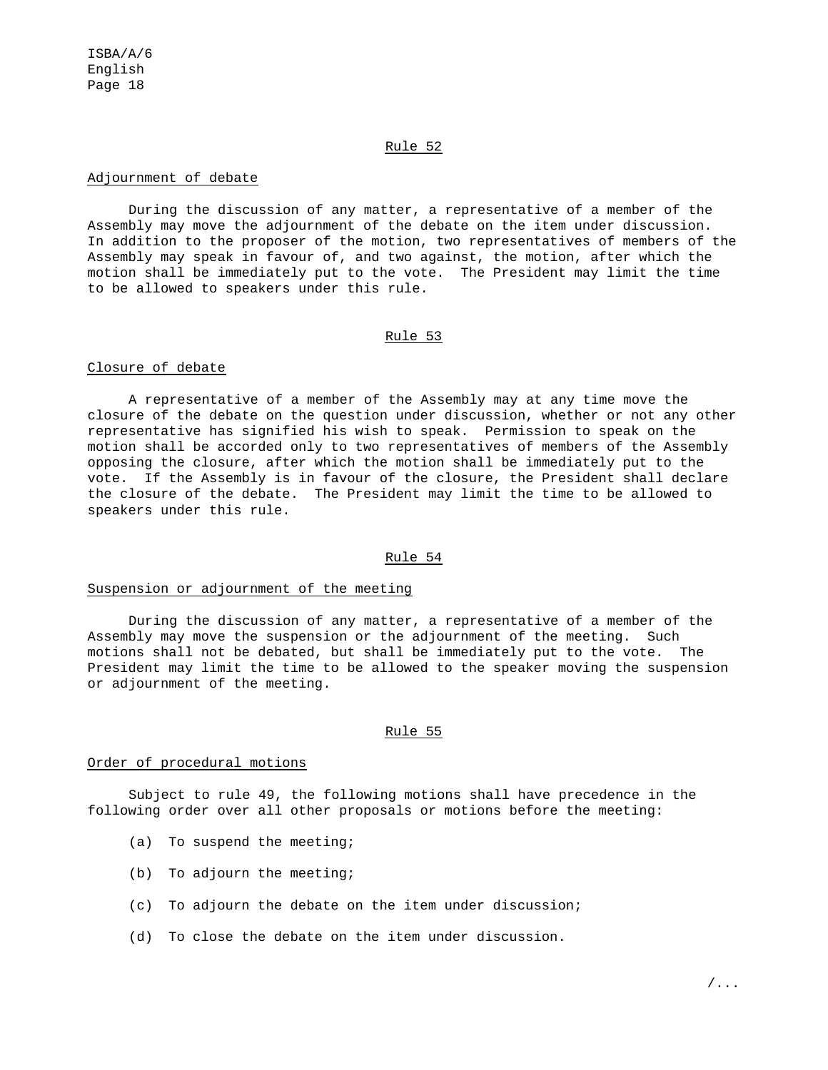## Rule 52

## Adjournment of debate

During the discussion of any matter, a representative of a member of the Assembly may move the adjournment of the debate on the item under discussion. In addition to the proposer of the motion, two representatives of members of the Assembly may speak in favour of, and two against, the motion, after which the motion shall be immediately put to the vote. The President may limit the time to be allowed to speakers under this rule.

## Rule 53

#### Closure of debate

A representative of a member of the Assembly may at any time move the closure of the debate on the question under discussion, whether or not any other representative has signified his wish to speak. Permission to speak on the motion shall be accorded only to two representatives of members of the Assembly opposing the closure, after which the motion shall be immediately put to the vote. If the Assembly is in favour of the closure, the President shall declare the closure of the debate. The President may limit the time to be allowed to speakers under this rule.

## Rule 54

#### Suspension or adjournment of the meeting

During the discussion of any matter, a representative of a member of the Assembly may move the suspension or the adjournment of the meeting. Such motions shall not be debated, but shall be immediately put to the vote. The President may limit the time to be allowed to the speaker moving the suspension or adjournment of the meeting.

#### Rule 55

#### Order of procedural motions

Subject to rule 49, the following motions shall have precedence in the following order over all other proposals or motions before the meeting:

- (a) To suspend the meeting;
- (b) To adjourn the meeting;
- (c) To adjourn the debate on the item under discussion;
- (d) To close the debate on the item under discussion.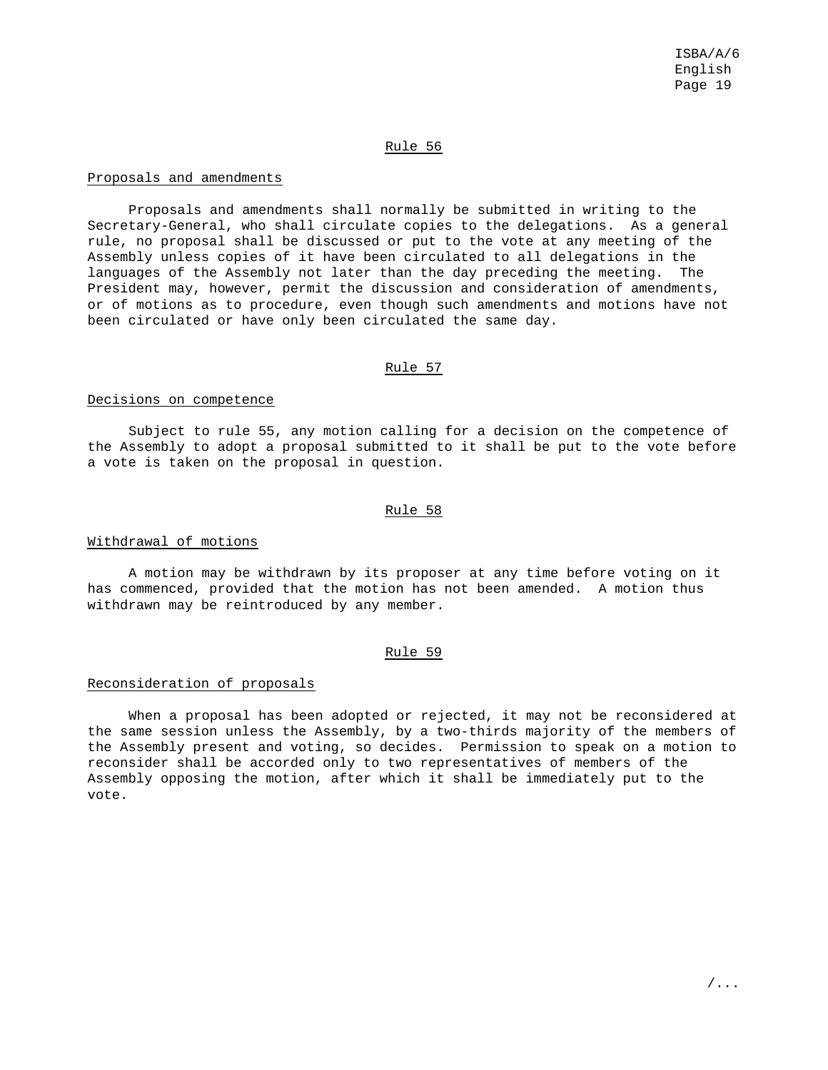## Rule 56

#### Proposals and amendments

Proposals and amendments shall normally be submitted in writing to the Secretary-General, who shall circulate copies to the delegations. As a general rule, no proposal shall be discussed or put to the vote at any meeting of the Assembly unless copies of it have been circulated to all delegations in the languages of the Assembly not later than the day preceding the meeting. The President may, however, permit the discussion and consideration of amendments, or of motions as to procedure, even though such amendments and motions have not been circulated or have only been circulated the same day.

#### Rule 57

## Decisions on competence

Subject to rule 55, any motion calling for a decision on the competence of the Assembly to adopt a proposal submitted to it shall be put to the vote before a vote is taken on the proposal in question.

## Rule 58

#### Withdrawal of motions

A motion may be withdrawn by its proposer at any time before voting on it has commenced, provided that the motion has not been amended. A motion thus withdrawn may be reintroduced by any member.

#### Rule 59

#### Reconsideration of proposals

When a proposal has been adopted or rejected, it may not be reconsidered at the same session unless the Assembly, by a two-thirds majority of the members of the Assembly present and voting, so decides. Permission to speak on a motion to reconsider shall be accorded only to two representatives of members of the Assembly opposing the motion, after which it shall be immediately put to the vote.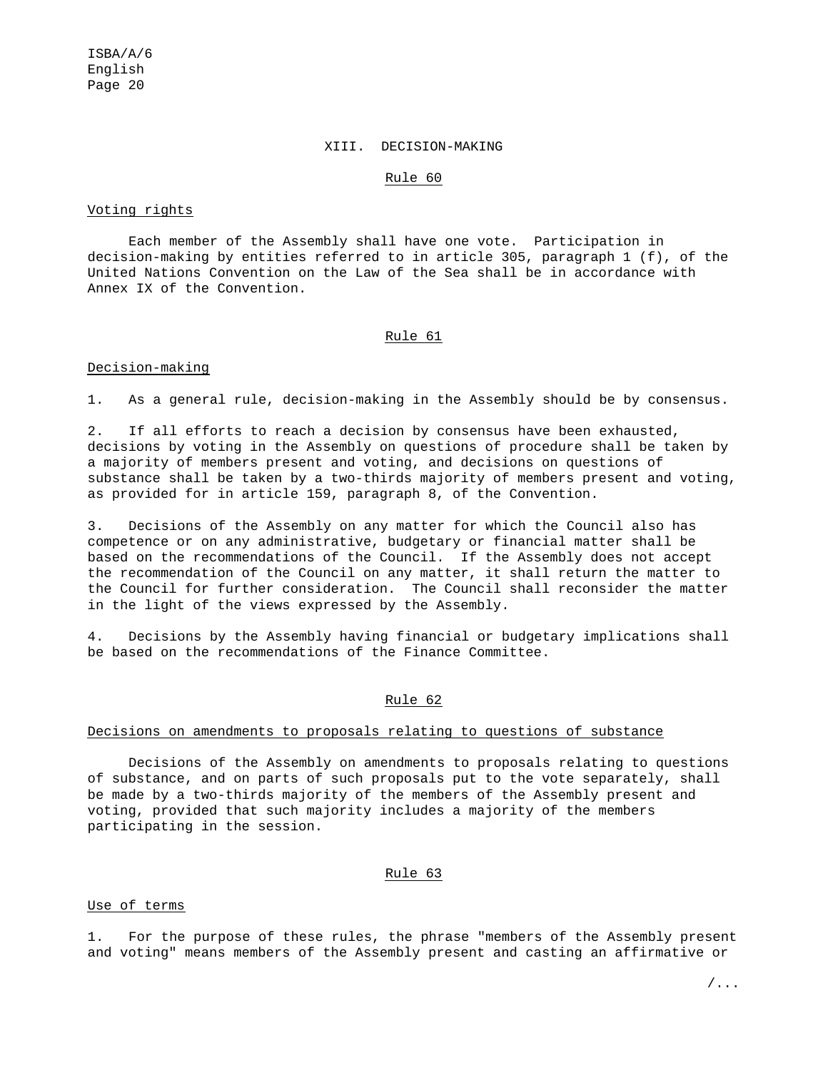#### XIII. DECISION-MAKING

## Rule 60

#### Voting rights

Each member of the Assembly shall have one vote. Participation in decision-making by entities referred to in article 305, paragraph 1 (f), of the United Nations Convention on the Law of the Sea shall be in accordance with Annex IX of the Convention.

## Rule 61

## Decision-making

1. As a general rule, decision-making in the Assembly should be by consensus.

2. If all efforts to reach a decision by consensus have been exhausted, decisions by voting in the Assembly on questions of procedure shall be taken by a majority of members present and voting, and decisions on questions of substance shall be taken by a two-thirds majority of members present and voting, as provided for in article 159, paragraph 8, of the Convention.

3. Decisions of the Assembly on any matter for which the Council also has competence or on any administrative, budgetary or financial matter shall be based on the recommendations of the Council. If the Assembly does not accept the recommendation of the Council on any matter, it shall return the matter to the Council for further consideration. The Council shall reconsider the matter in the light of the views expressed by the Assembly.

4. Decisions by the Assembly having financial or budgetary implications shall be based on the recommendations of the Finance Committee.

## Rule 62

#### Decisions on amendments to proposals relating to questions of substance

Decisions of the Assembly on amendments to proposals relating to questions of substance, and on parts of such proposals put to the vote separately, shall be made by a two-thirds majority of the members of the Assembly present and voting, provided that such majority includes a majority of the members participating in the session.

#### Rule 63

#### Use of terms

1. For the purpose of these rules, the phrase "members of the Assembly present and voting" means members of the Assembly present and casting an affirmative or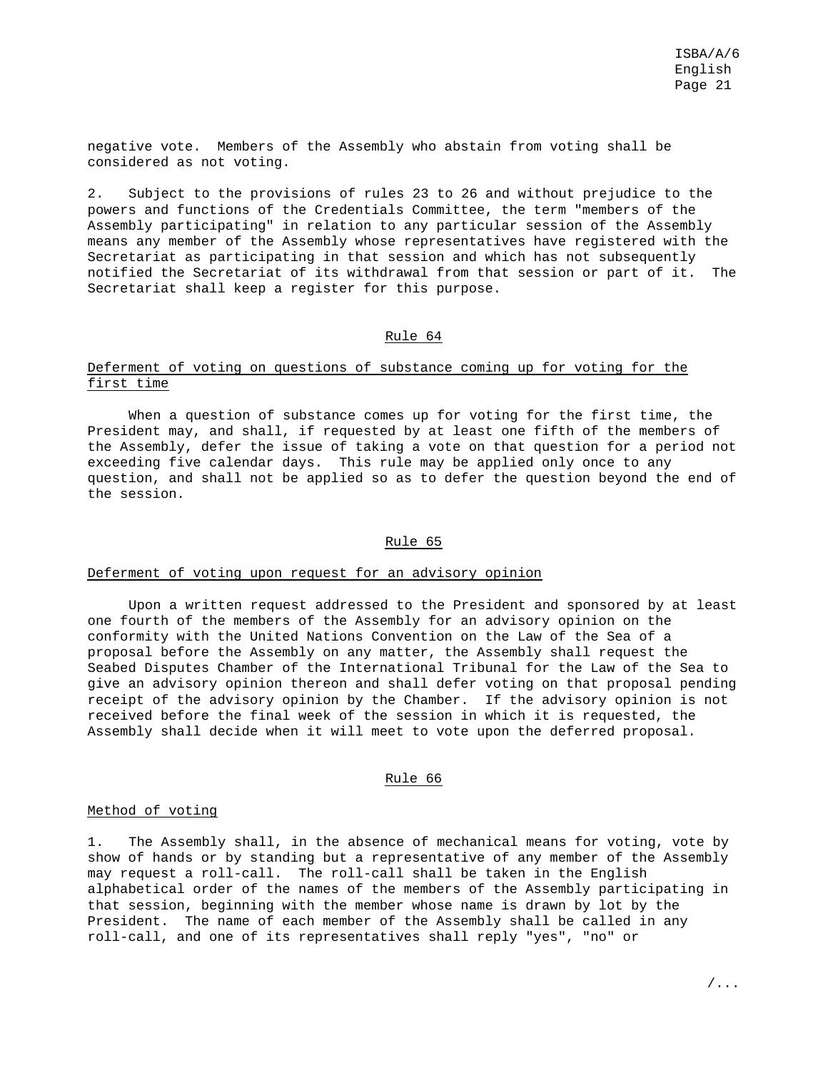negative vote. Members of the Assembly who abstain from voting shall be considered as not voting.

2. Subject to the provisions of rules 23 to 26 and without prejudice to the powers and functions of the Credentials Committee, the term "members of the Assembly participating" in relation to any particular session of the Assembly means any member of the Assembly whose representatives have registered with the Secretariat as participating in that session and which has not subsequently notified the Secretariat of its withdrawal from that session or part of it. The Secretariat shall keep a register for this purpose.

## Rule 64

## Deferment of voting on questions of substance coming up for voting for the first time

When a question of substance comes up for voting for the first time, the President may, and shall, if requested by at least one fifth of the members of the Assembly, defer the issue of taking a vote on that question for a period not exceeding five calendar days. This rule may be applied only once to any question, and shall not be applied so as to defer the question beyond the end of the session.

#### Rule 65

#### Deferment of voting upon request for an advisory opinion

Upon a written request addressed to the President and sponsored by at least one fourth of the members of the Assembly for an advisory opinion on the conformity with the United Nations Convention on the Law of the Sea of a proposal before the Assembly on any matter, the Assembly shall request the Seabed Disputes Chamber of the International Tribunal for the Law of the Sea to give an advisory opinion thereon and shall defer voting on that proposal pending receipt of the advisory opinion by the Chamber. If the advisory opinion is not received before the final week of the session in which it is requested, the Assembly shall decide when it will meet to vote upon the deferred proposal.

## Rule 66

#### Method of voting

1. The Assembly shall, in the absence of mechanical means for voting, vote by show of hands or by standing but a representative of any member of the Assembly may request a roll-call. The roll-call shall be taken in the English alphabetical order of the names of the members of the Assembly participating in that session, beginning with the member whose name is drawn by lot by the President. The name of each member of the Assembly shall be called in any roll-call, and one of its representatives shall reply "yes", "no" or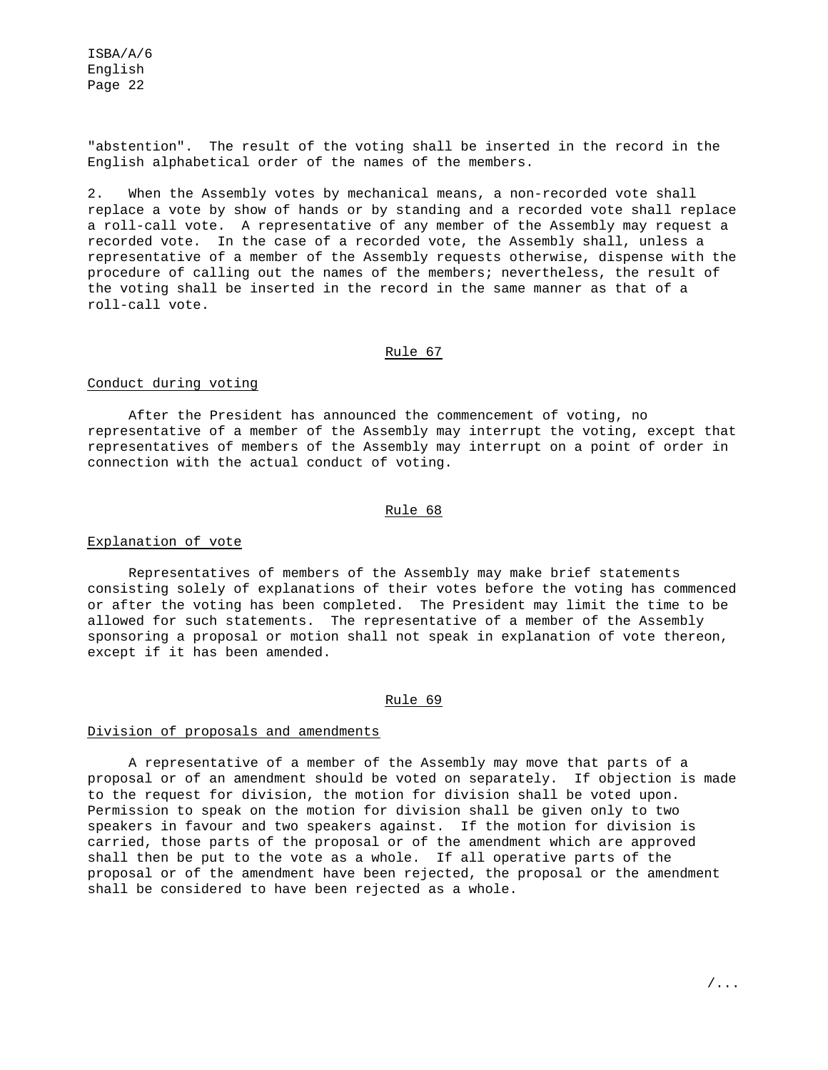"abstention". The result of the voting shall be inserted in the record in the English alphabetical order of the names of the members.

2. When the Assembly votes by mechanical means, a non-recorded vote shall replace a vote by show of hands or by standing and a recorded vote shall replace a roll-call vote. A representative of any member of the Assembly may request a recorded vote. In the case of a recorded vote, the Assembly shall, unless a representative of a member of the Assembly requests otherwise, dispense with the procedure of calling out the names of the members; nevertheless, the result of the voting shall be inserted in the record in the same manner as that of a roll-call vote.

#### Rule 67

#### Conduct during voting

After the President has announced the commencement of voting, no representative of a member of the Assembly may interrupt the voting, except that representatives of members of the Assembly may interrupt on a point of order in connection with the actual conduct of voting.

## Rule 68

## Explanation of vote

Representatives of members of the Assembly may make brief statements consisting solely of explanations of their votes before the voting has commenced or after the voting has been completed. The President may limit the time to be allowed for such statements. The representative of a member of the Assembly sponsoring a proposal or motion shall not speak in explanation of vote thereon, except if it has been amended.

## Rule 69

#### Division of proposals and amendments

A representative of a member of the Assembly may move that parts of a proposal or of an amendment should be voted on separately. If objection is made to the request for division, the motion for division shall be voted upon. Permission to speak on the motion for division shall be given only to two speakers in favour and two speakers against. If the motion for division is carried, those parts of the proposal or of the amendment which are approved shall then be put to the vote as a whole. If all operative parts of the proposal or of the amendment have been rejected, the proposal or the amendment shall be considered to have been rejected as a whole.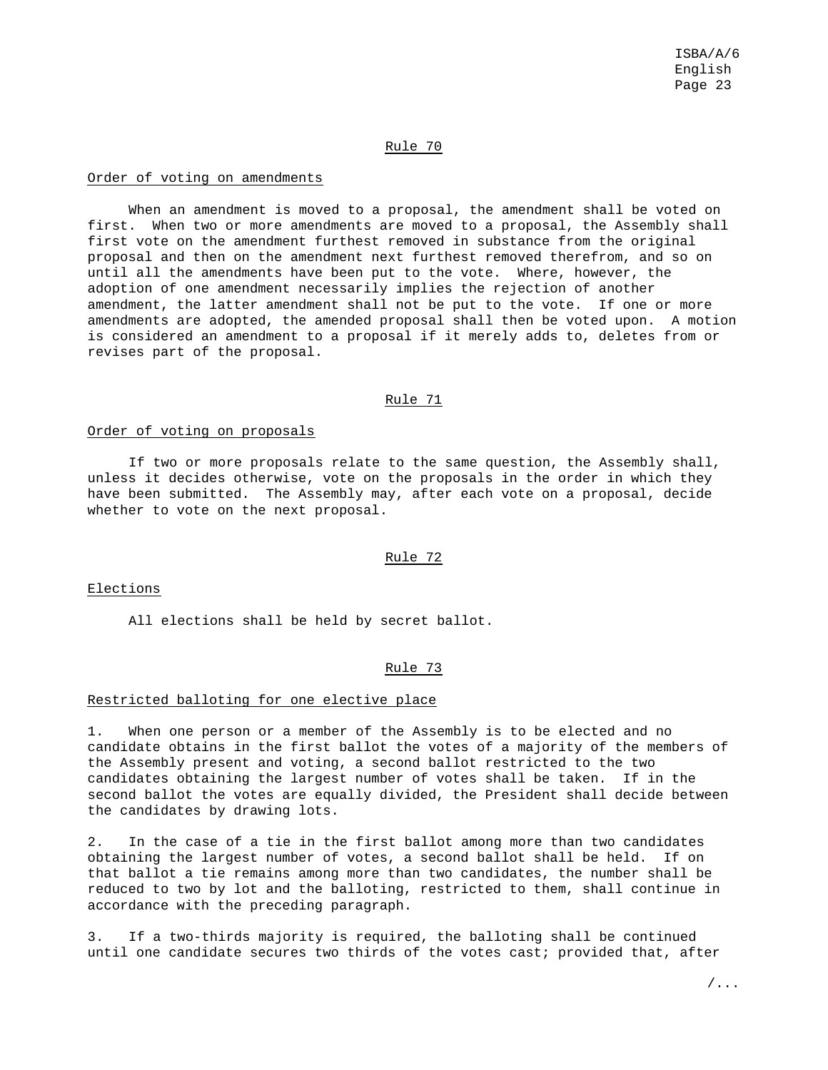#### Rule 70

#### Order of voting on amendments

When an amendment is moved to a proposal, the amendment shall be voted on first. When two or more amendments are moved to a proposal, the Assembly shall first vote on the amendment furthest removed in substance from the original proposal and then on the amendment next furthest removed therefrom, and so on until all the amendments have been put to the vote. Where, however, the adoption of one amendment necessarily implies the rejection of another amendment, the latter amendment shall not be put to the vote. If one or more amendments are adopted, the amended proposal shall then be voted upon. A motion is considered an amendment to a proposal if it merely adds to, deletes from or revises part of the proposal.

## Rule 71

#### Order of voting on proposals

If two or more proposals relate to the same question, the Assembly shall, unless it decides otherwise, vote on the proposals in the order in which they have been submitted. The Assembly may, after each vote on a proposal, decide whether to vote on the next proposal.

## Rule 72

#### Elections

All elections shall be held by secret ballot.

#### Rule 73

#### Restricted balloting for one elective place

1. When one person or a member of the Assembly is to be elected and no candidate obtains in the first ballot the votes of a majority of the members of the Assembly present and voting, a second ballot restricted to the two candidates obtaining the largest number of votes shall be taken. If in the second ballot the votes are equally divided, the President shall decide between the candidates by drawing lots.

2. In the case of a tie in the first ballot among more than two candidates obtaining the largest number of votes, a second ballot shall be held. If on that ballot a tie remains among more than two candidates, the number shall be reduced to two by lot and the balloting, restricted to them, shall continue in accordance with the preceding paragraph.

3. If a two-thirds majority is required, the balloting shall be continued until one candidate secures two thirds of the votes cast; provided that, after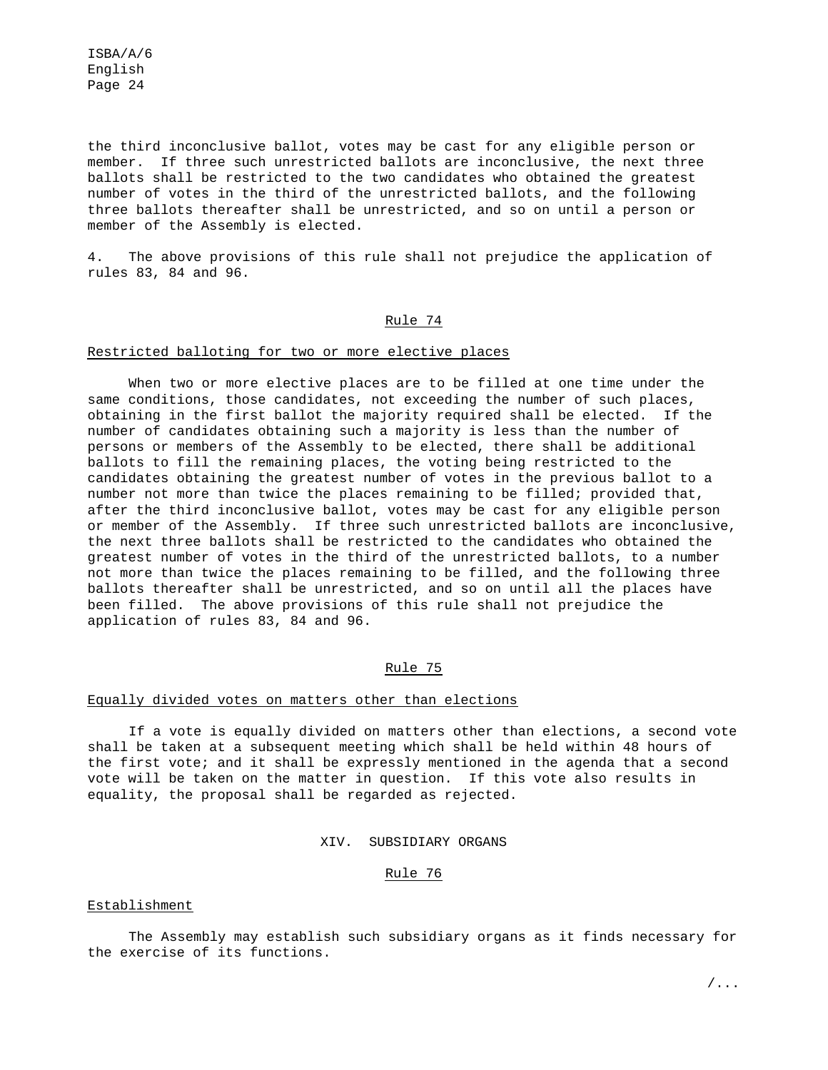the third inconclusive ballot, votes may be cast for any eligible person or member. If three such unrestricted ballots are inconclusive, the next three ballots shall be restricted to the two candidates who obtained the greatest number of votes in the third of the unrestricted ballots, and the following three ballots thereafter shall be unrestricted, and so on until a person or member of the Assembly is elected.

4. The above provisions of this rule shall not prejudice the application of rules 83, 84 and 96.

## Rule 74

#### Restricted balloting for two or more elective places

When two or more elective places are to be filled at one time under the same conditions, those candidates, not exceeding the number of such places, obtaining in the first ballot the majority required shall be elected. If the number of candidates obtaining such a majority is less than the number of persons or members of the Assembly to be elected, there shall be additional ballots to fill the remaining places, the voting being restricted to the candidates obtaining the greatest number of votes in the previous ballot to a number not more than twice the places remaining to be filled; provided that, after the third inconclusive ballot, votes may be cast for any eligible person or member of the Assembly. If three such unrestricted ballots are inconclusive, the next three ballots shall be restricted to the candidates who obtained the greatest number of votes in the third of the unrestricted ballots, to a number not more than twice the places remaining to be filled, and the following three ballots thereafter shall be unrestricted, and so on until all the places have been filled. The above provisions of this rule shall not prejudice the application of rules 83, 84 and 96.

#### Rule 75

#### Equally divided votes on matters other than elections

If a vote is equally divided on matters other than elections, a second vote shall be taken at a subsequent meeting which shall be held within 48 hours of the first vote; and it shall be expressly mentioned in the agenda that a second vote will be taken on the matter in question. If this vote also results in equality, the proposal shall be regarded as rejected.

#### XIV. SUBSIDIARY ORGANS

#### Rule 76

#### Establishment

The Assembly may establish such subsidiary organs as it finds necessary for the exercise of its functions.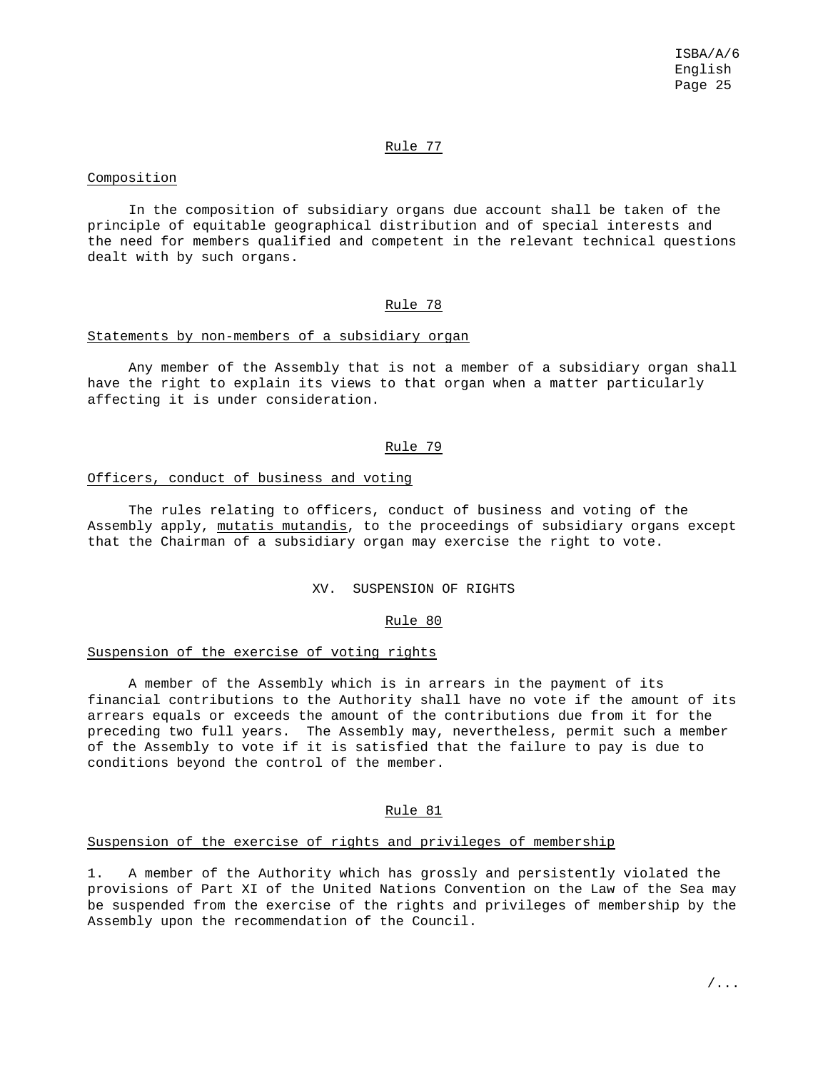#### Rule 77

#### Composition

In the composition of subsidiary organs due account shall be taken of the principle of equitable geographical distribution and of special interests and the need for members qualified and competent in the relevant technical questions dealt with by such organs.

## Rule 78

#### Statements by non-members of a subsidiary organ

Any member of the Assembly that is not a member of a subsidiary organ shall have the right to explain its views to that organ when a matter particularly affecting it is under consideration.

#### Rule 79

#### Officers, conduct of business and voting

The rules relating to officers, conduct of business and voting of the Assembly apply, mutatis mutandis, to the proceedings of subsidiary organs except that the Chairman of a subsidiary organ may exercise the right to vote.

#### XV. SUSPENSION OF RIGHTS

#### Rule 80

#### Suspension of the exercise of voting rights

A member of the Assembly which is in arrears in the payment of its financial contributions to the Authority shall have no vote if the amount of its arrears equals or exceeds the amount of the contributions due from it for the preceding two full years. The Assembly may, nevertheless, permit such a member of the Assembly to vote if it is satisfied that the failure to pay is due to conditions beyond the control of the member.

## Rule 81

#### Suspension of the exercise of rights and privileges of membership

1. A member of the Authority which has grossly and persistently violated the provisions of Part XI of the United Nations Convention on the Law of the Sea may be suspended from the exercise of the rights and privileges of membership by the Assembly upon the recommendation of the Council.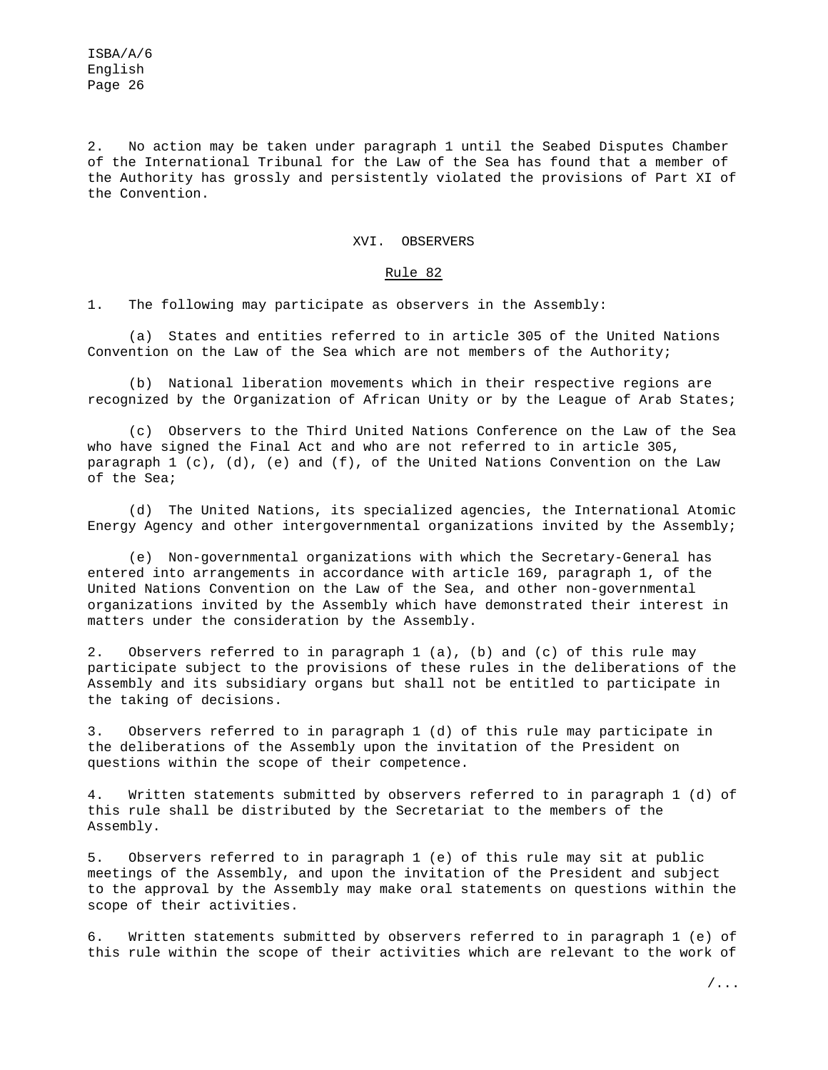2. No action may be taken under paragraph 1 until the Seabed Disputes Chamber of the International Tribunal for the Law of the Sea has found that a member of the Authority has grossly and persistently violated the provisions of Part XI of the Convention.

#### XVI. OBSERVERS

#### Rule 82

1. The following may participate as observers in the Assembly:

(a) States and entities referred to in article 305 of the United Nations Convention on the Law of the Sea which are not members of the Authority;

(b) National liberation movements which in their respective regions are recognized by the Organization of African Unity or by the League of Arab States;

(c) Observers to the Third United Nations Conference on the Law of the Sea who have signed the Final Act and who are not referred to in article 305, paragraph  $1$  (c), (d), (e) and (f), of the United Nations Convention on the Law of the Sea;

(d) The United Nations, its specialized agencies, the International Atomic Energy Agency and other intergovernmental organizations invited by the Assembly;

(e) Non-governmental organizations with which the Secretary-General has entered into arrangements in accordance with article 169, paragraph 1, of the United Nations Convention on the Law of the Sea, and other non-governmental organizations invited by the Assembly which have demonstrated their interest in matters under the consideration by the Assembly.

2. Observers referred to in paragraph 1 (a), (b) and (c) of this rule may participate subject to the provisions of these rules in the deliberations of the Assembly and its subsidiary organs but shall not be entitled to participate in the taking of decisions.

3. Observers referred to in paragraph 1 (d) of this rule may participate in the deliberations of the Assembly upon the invitation of the President on questions within the scope of their competence.

4. Written statements submitted by observers referred to in paragraph 1 (d) of this rule shall be distributed by the Secretariat to the members of the Assembly.

5. Observers referred to in paragraph 1 (e) of this rule may sit at public meetings of the Assembly, and upon the invitation of the President and subject to the approval by the Assembly may make oral statements on questions within the scope of their activities.

6. Written statements submitted by observers referred to in paragraph 1 (e) of this rule within the scope of their activities which are relevant to the work of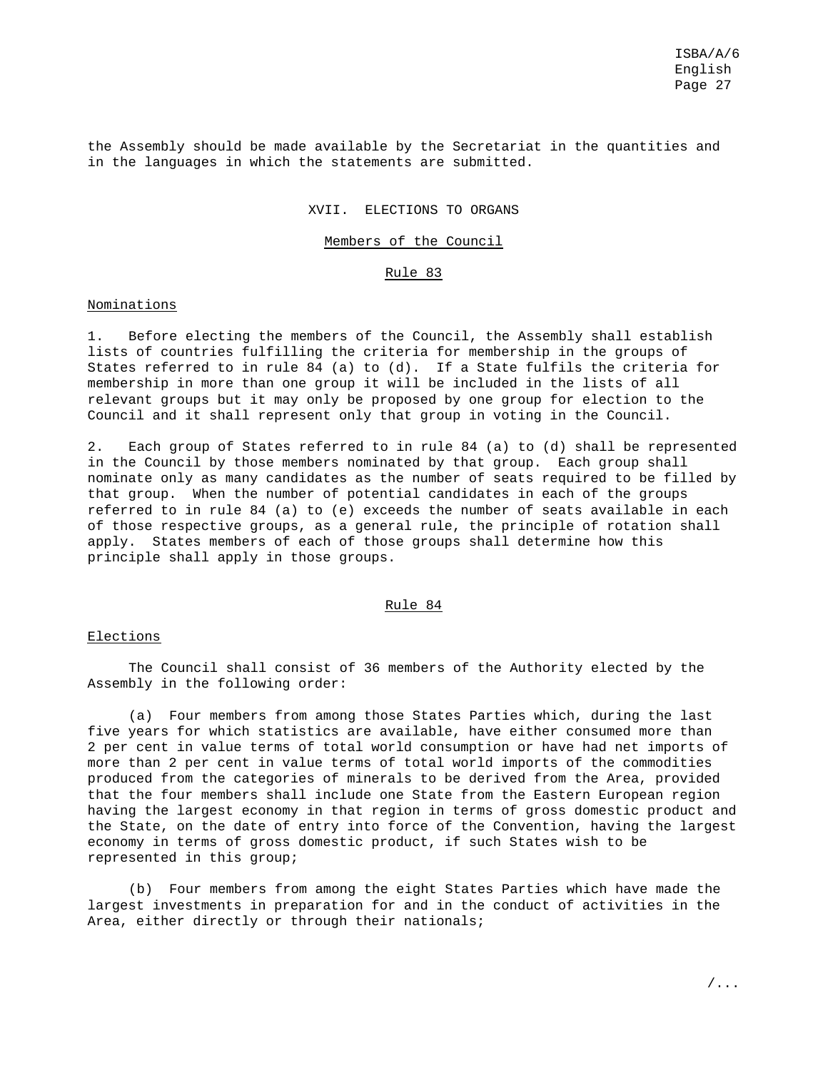the Assembly should be made available by the Secretariat in the quantities and in the languages in which the statements are submitted.

#### XVII. ELECTIONS TO ORGANS

#### Members of the Council

#### Rule 83

#### Nominations

1. Before electing the members of the Council, the Assembly shall establish lists of countries fulfilling the criteria for membership in the groups of States referred to in rule 84 (a) to (d). If a State fulfils the criteria for membership in more than one group it will be included in the lists of all relevant groups but it may only be proposed by one group for election to the Council and it shall represent only that group in voting in the Council.

2. Each group of States referred to in rule 84 (a) to (d) shall be represented in the Council by those members nominated by that group. Each group shall nominate only as many candidates as the number of seats required to be filled by that group. When the number of potential candidates in each of the groups referred to in rule 84 (a) to (e) exceeds the number of seats available in each of those respective groups, as a general rule, the principle of rotation shall apply. States members of each of those groups shall determine how this principle shall apply in those groups.

#### Rule 84

#### Elections

The Council shall consist of 36 members of the Authority elected by the Assembly in the following order:

(a) Four members from among those States Parties which, during the last five years for which statistics are available, have either consumed more than 2 per cent in value terms of total world consumption or have had net imports of more than 2 per cent in value terms of total world imports of the commodities produced from the categories of minerals to be derived from the Area, provided that the four members shall include one State from the Eastern European region having the largest economy in that region in terms of gross domestic product and the State, on the date of entry into force of the Convention, having the largest economy in terms of gross domestic product, if such States wish to be represented in this group;

(b) Four members from among the eight States Parties which have made the largest investments in preparation for and in the conduct of activities in the Area, either directly or through their nationals;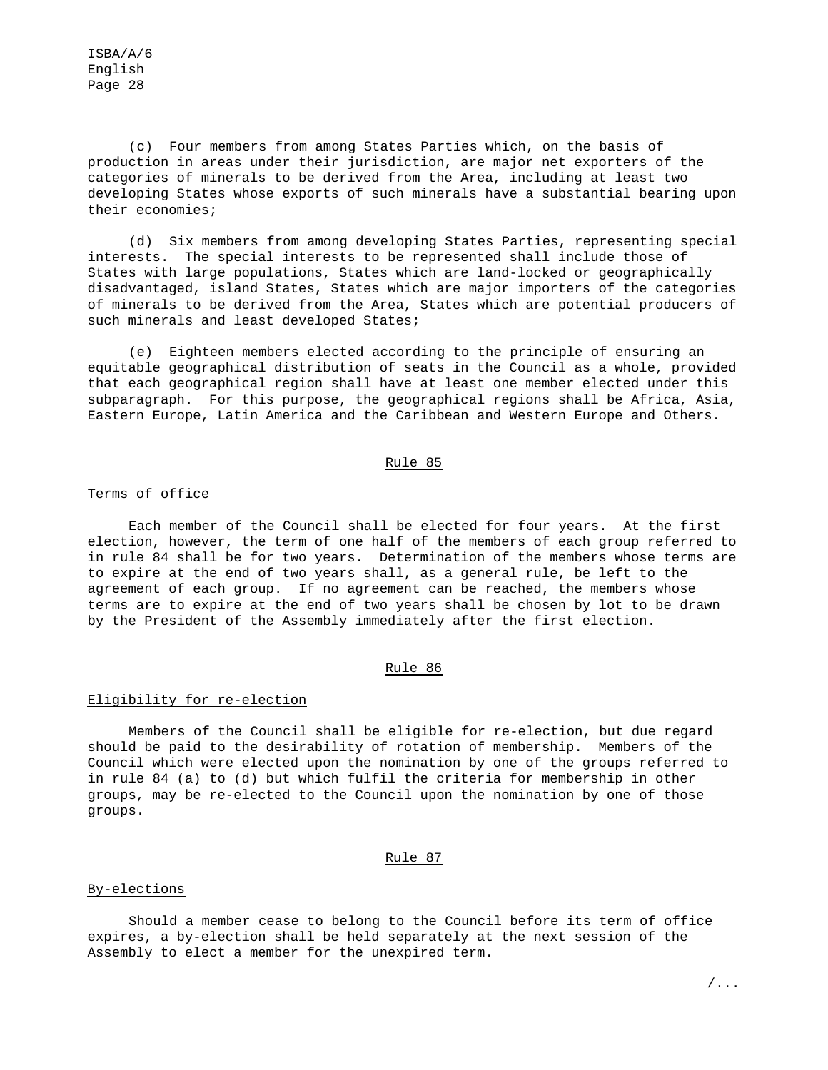(c) Four members from among States Parties which, on the basis of production in areas under their jurisdiction, are major net exporters of the categories of minerals to be derived from the Area, including at least two developing States whose exports of such minerals have a substantial bearing upon their economies;

(d) Six members from among developing States Parties, representing special interests. The special interests to be represented shall include those of States with large populations, States which are land-locked or geographically disadvantaged, island States, States which are major importers of the categories of minerals to be derived from the Area, States which are potential producers of such minerals and least developed States;

(e) Eighteen members elected according to the principle of ensuring an equitable geographical distribution of seats in the Council as a whole, provided that each geographical region shall have at least one member elected under this subparagraph. For this purpose, the geographical regions shall be Africa, Asia, Eastern Europe, Latin America and the Caribbean and Western Europe and Others.

#### Rule 85

#### Terms of office

Each member of the Council shall be elected for four years. At the first election, however, the term of one half of the members of each group referred to in rule 84 shall be for two years. Determination of the members whose terms are to expire at the end of two years shall, as a general rule, be left to the agreement of each group. If no agreement can be reached, the members whose terms are to expire at the end of two years shall be chosen by lot to be drawn by the President of the Assembly immediately after the first election.

## Rule 86

## Eligibility for re-election

Members of the Council shall be eligible for re-election, but due regard should be paid to the desirability of rotation of membership. Members of the Council which were elected upon the nomination by one of the groups referred to in rule 84 (a) to (d) but which fulfil the criteria for membership in other groups, may be re-elected to the Council upon the nomination by one of those groups.

#### Rule 87

## By-elections

Should a member cease to belong to the Council before its term of office expires, a by-election shall be held separately at the next session of the Assembly to elect a member for the unexpired term.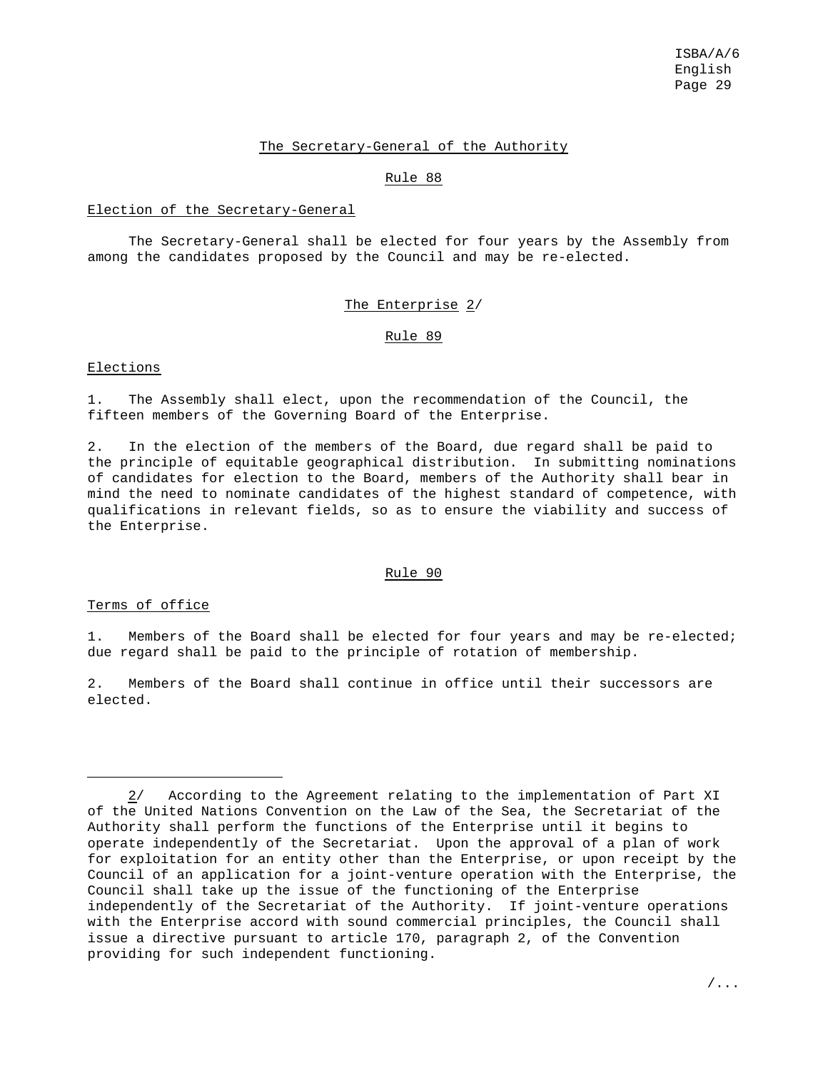#### The Secretary-General of the Authority

## Rule 88

#### Election of the Secretary-General

The Secretary-General shall be elected for four years by the Assembly from among the candidates proposed by the Council and may be re-elected.

## The Enterprise 2/

## Rule 89

#### Elections

1. The Assembly shall elect, upon the recommendation of the Council, the fifteen members of the Governing Board of the Enterprise.

2. In the election of the members of the Board, due regard shall be paid to the principle of equitable geographical distribution. In submitting nominations of candidates for election to the Board, members of the Authority shall bear in mind the need to nominate candidates of the highest standard of competence, with qualifications in relevant fields, so as to ensure the viability and success of the Enterprise.

#### Rule 90

## Terms of office

1. Members of the Board shall be elected for four years and may be re-elected; due regard shall be paid to the principle of rotation of membership.

2. Members of the Board shall continue in office until their successors are elected.

<sup>2/</sup> According to the Agreement relating to the implementation of Part XI of the United Nations Convention on the Law of the Sea, the Secretariat of the Authority shall perform the functions of the Enterprise until it begins to operate independently of the Secretariat. Upon the approval of a plan of work for exploitation for an entity other than the Enterprise, or upon receipt by the Council of an application for a joint-venture operation with the Enterprise, the Council shall take up the issue of the functioning of the Enterprise independently of the Secretariat of the Authority. If joint-venture operations with the Enterprise accord with sound commercial principles, the Council shall issue a directive pursuant to article 170, paragraph 2, of the Convention providing for such independent functioning.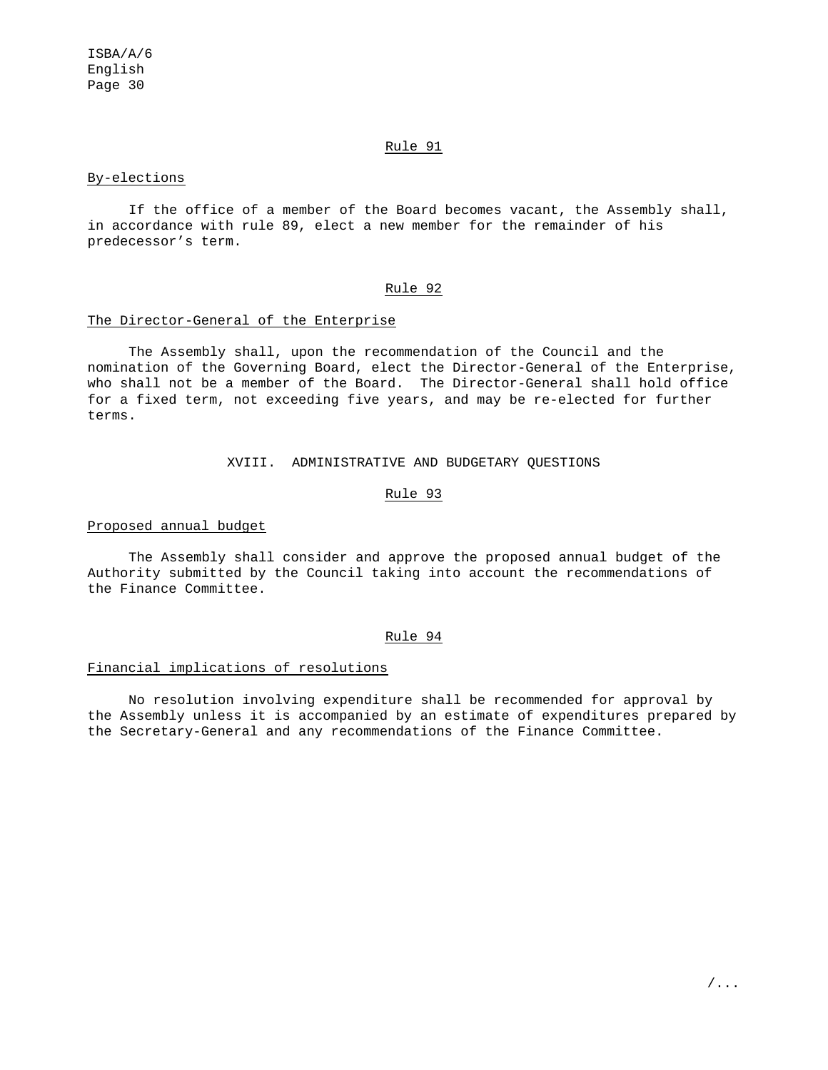#### Rule 91

## By-elections

If the office of a member of the Board becomes vacant, the Assembly shall, in accordance with rule 89, elect a new member for the remainder of his predecessor's term.

## Rule 92

#### The Director-General of the Enterprise

The Assembly shall, upon the recommendation of the Council and the nomination of the Governing Board, elect the Director-General of the Enterprise, who shall not be a member of the Board. The Director-General shall hold office for a fixed term, not exceeding five years, and may be re-elected for further terms.

#### XVIII. ADMINISTRATIVE AND BUDGETARY QUESTIONS

#### Rule 93

## Proposed annual budget

The Assembly shall consider and approve the proposed annual budget of the Authority submitted by the Council taking into account the recommendations of the Finance Committee.

## Rule 94

## Financial implications of resolutions

No resolution involving expenditure shall be recommended for approval by the Assembly unless it is accompanied by an estimate of expenditures prepared by the Secretary-General and any recommendations of the Finance Committee.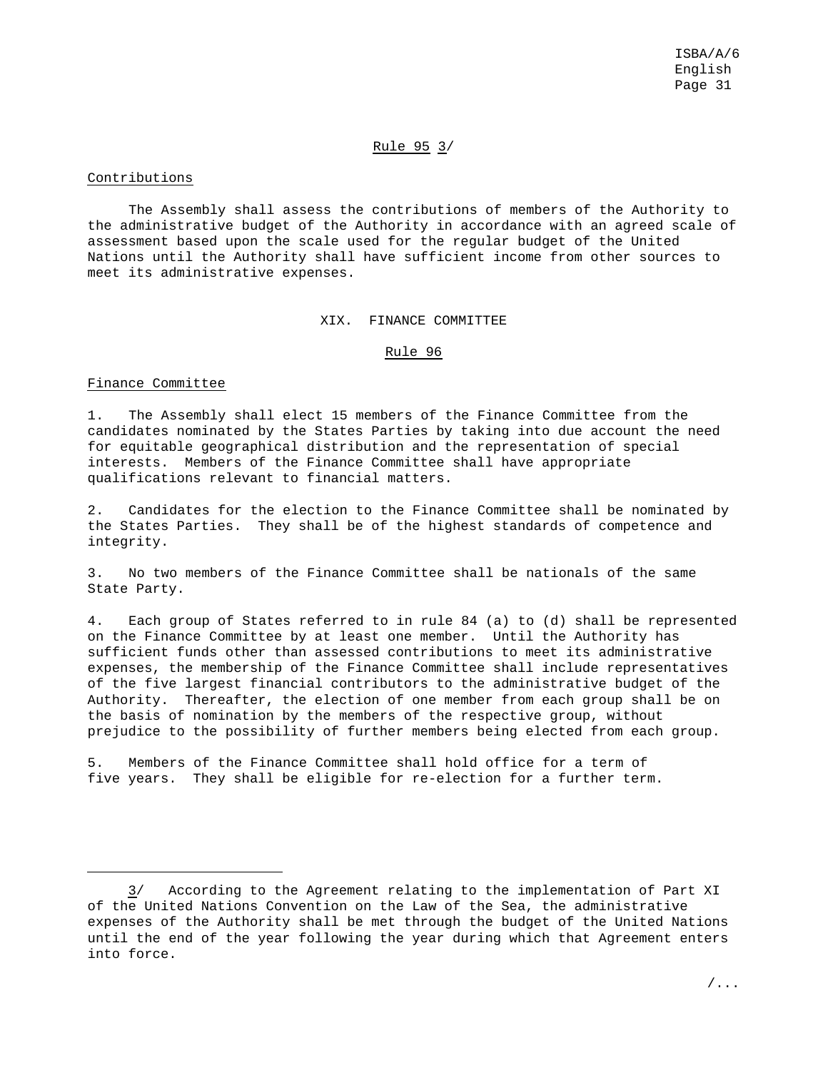## Rule 95 3/

## **Contributions**

The Assembly shall assess the contributions of members of the Authority to the administrative budget of the Authority in accordance with an agreed scale of assessment based upon the scale used for the regular budget of the United Nations until the Authority shall have sufficient income from other sources to meet its administrative expenses.

## XIX. FINANCE COMMITTEE

#### Rule 96

#### Finance Committee

1. The Assembly shall elect 15 members of the Finance Committee from the candidates nominated by the States Parties by taking into due account the need for equitable geographical distribution and the representation of special interests. Members of the Finance Committee shall have appropriate qualifications relevant to financial matters.

2. Candidates for the election to the Finance Committee shall be nominated by the States Parties. They shall be of the highest standards of competence and integrity.

3. No two members of the Finance Committee shall be nationals of the same State Party.

4. Each group of States referred to in rule 84 (a) to (d) shall be represented on the Finance Committee by at least one member. Until the Authority has sufficient funds other than assessed contributions to meet its administrative expenses, the membership of the Finance Committee shall include representatives of the five largest financial contributors to the administrative budget of the Authority. Thereafter, the election of one member from each group shall be on the basis of nomination by the members of the respective group, without prejudice to the possibility of further members being elected from each group.

5. Members of the Finance Committee shall hold office for a term of five years. They shall be eligible for re-election for a further term.

<sup>3/</sup> According to the Agreement relating to the implementation of Part XI of the United Nations Convention on the Law of the Sea, the administrative expenses of the Authority shall be met through the budget of the United Nations until the end of the year following the year during which that Agreement enters into force.